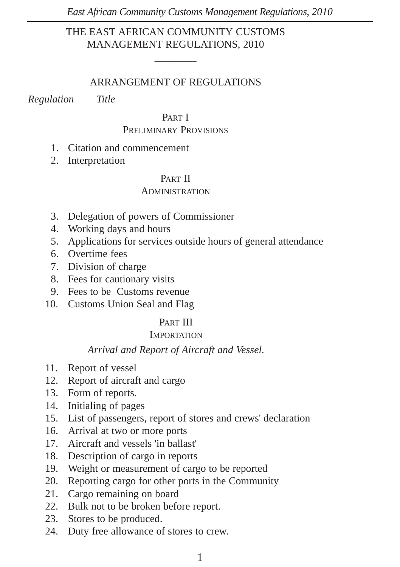# THE EAST AFRICAN COMMUNITY CUSTOMS MANAGEMENT REGULATIONS, 2010

 $\overline{\phantom{a}}$ 

## ARRANGEMENT OF REGULATIONS

*Regulation Title*

#### PART I

#### PRELIMINARY PROVISIONS

- 1. Citation and commencement
- 2. Interpretation

#### PART II

#### ADMINISTRATION

- 3. Delegation of powers of Commissioner
- 4. Working days and hours
- 5. Applications for services outside hours of general attendance
- 6. Overtime fees
- 7. Division of charge
- 8. Fees for cautionary visits
- 9. Fees to be Customs revenue
- 10. Customs Union Seal and Flag

## PART III

## **IMPORTATION**

#### *Arrival and Report of Aircraft and Vessel.*

- 11. Report of vessel
- 12. Report of aircraft and cargo
- 13. Form of reports.
- 14. Initialing of pages
- 15. List of passengers, report of stores and crews' declaration
- 16. Arrival at two or more ports
- 17. Aircraft and vessels 'in ballast'
- 18. Description of cargo in reports
- 19. Weight or measurement of cargo to be reported
- 20. Reporting cargo for other ports in the Community
- 21. Cargo remaining on board
- 22. Bulk not to be broken before report.
- 23. Stores to be produced.
- 24. Duty free allowance of stores to crew.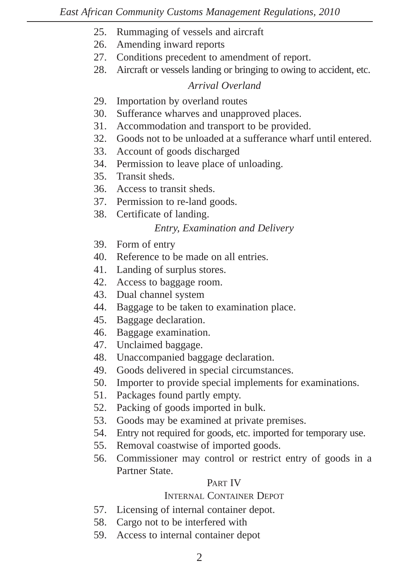- 25. Rummaging of vessels and aircraft
- 26. Amending inward reports
- 27. Conditions precedent to amendment of report.
- 28. Aircraft or vessels landing or bringing to owing to accident, etc.

## *Arrival Overland*

- 29. Importation by overland routes
- 30. Sufferance wharves and unapproved places.
- 31. Accommodation and transport to be provided.
- 32. Goods not to be unloaded at a sufferance wharf until entered.
- 33. Account of goods discharged
- 34. Permission to leave place of unloading.
- 35. Transit sheds.
- 36. Access to transit sheds.
- 37. Permission to re-land goods.
- 38. Certificate of landing.

# *Entry, Examination and Delivery*

- 39. Form of entry
- 40. Reference to be made on all entries.
- 41. Landing of surplus stores.
- 42. Access to baggage room.
- 43. Dual channel system
- 44. Baggage to be taken to examination place.
- 45. Baggage declaration.
- 46. Baggage examination.
- 47. Unclaimed baggage.
- 48. Unaccompanied baggage declaration.
- 49. Goods delivered in special circumstances.
- 50. Importer to provide special implements for examinations.
- 51. Packages found partly empty.
- 52. Packing of goods imported in bulk.
- 53. Goods may be examined at private premises.
- 54. Entry not required for goods, etc. imported for temporary use.
- 55. Removal coastwise of imported goods.
- 56. Commissioner may control or restrict entry of goods in a Partner State.

# PART IV

# INTERNAL CONTAINER DEPOT

- 57. Licensing of internal container depot.
- 58. Cargo not to be interfered with
- 59. Access to internal container depot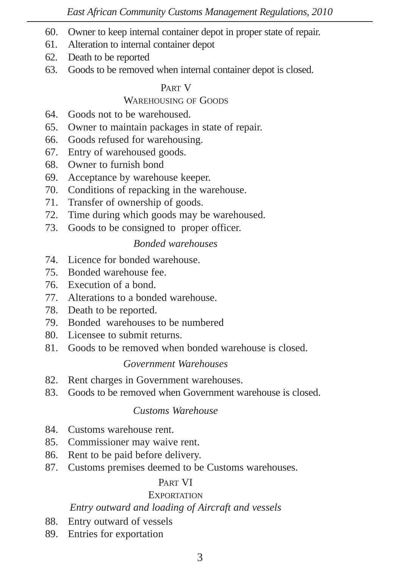- 60. Owner to keep internal container depot in proper state of repair.
- 61. Alteration to internal container depot
- 62. Death to be reported
- 63. Goods to be removed when internal container depot is closed.

#### PART V

# WAREHOUSING OF GOODS

- 64. Goods not to be warehoused.
- 65. Owner to maintain packages in state of repair.
- 66. Goods refused for warehousing.
- 67. Entry of warehoused goods.
- 68. Owner to furnish bond
- 69. Acceptance by warehouse keeper.
- 70. Conditions of repacking in the warehouse.
- 71. Transfer of ownership of goods.
- 72. Time during which goods may be warehoused.
- 73. Goods to be consigned to proper officer.

# *Bonded warehouses*

- 74. Licence for bonded warehouse.
- 75. Bonded warehouse fee.
- 76. Execution of a bond.
- 77. Alterations to a bonded warehouse.
- 78. Death to be reported.
- 79. Bonded warehouses to be numbered
- 80. Licensee to submit returns.
- 81. Goods to be removed when bonded warehouse is closed.

# *Government Warehouses*

- 82. Rent charges in Government warehouses.
- 83. Goods to be removed when Government warehouse is closed.

# *Customs Warehouse*

- 84. Customs warehouse rent.
- 85. Commissioner may waive rent.
- 86. Rent to be paid before delivery.
- 87. Customs premises deemed to be Customs warehouses.

## PAPT VI

# **EXPORTATION**

# *Entry outward and loading of Aircraft and vessels*

- 88. Entry outward of vessels
- 89. Entries for exportation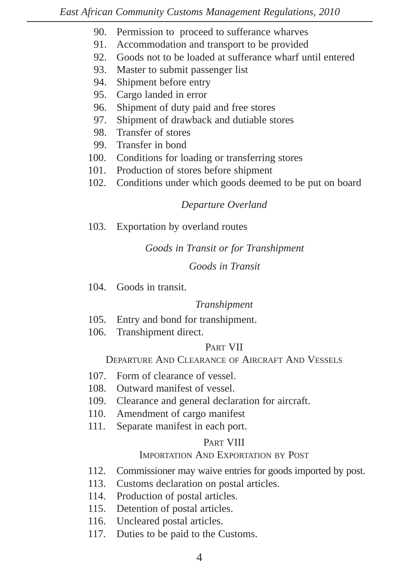- 90. Permission to proceed to sufferance wharves
- 91. Accommodation and transport to be provided
- 92. Goods not to be loaded at sufferance wharf until entered
- 93. Master to submit passenger list
- 94. Shipment before entry
- 95. Cargo landed in error
- 96. Shipment of duty paid and free stores
- 97. Shipment of drawback and dutiable stores
- 98. Transfer of stores
- 99. Transfer in bond
- 100. Conditions for loading or transferring stores
- 101. Production of stores before shipment
- 102. Conditions under which goods deemed to be put on board

# *Departure Overland*

103. Exportation by overland routes

## *Goods in Transit or for Transhipment*

## *Goods in Transit*

104. Goods in transit.

## *Transhipment*

- 105. Entry and bond for transhipment.
- 106. Transhipment direct.

## PART VII

# DEPARTURE AND CLEARANCE OF AIRCRAFT AND VESSELS

- 107. Form of clearance of vessel.
- 108. Outward manifest of vessel.
- 109. Clearance and general declaration for aircraft.
- 110. Amendment of cargo manifest
- 111. Separate manifest in each port.

## PART VIII

# IMPORTATION AND EXPORTATION BY POST

- 112. Commissioner may waive entries for goods imported by post.
- 113. Customs declaration on postal articles.
- 114. Production of postal articles.
- 115. Detention of postal articles.
- 116. Uncleared postal articles.
- 117. Duties to be paid to the Customs.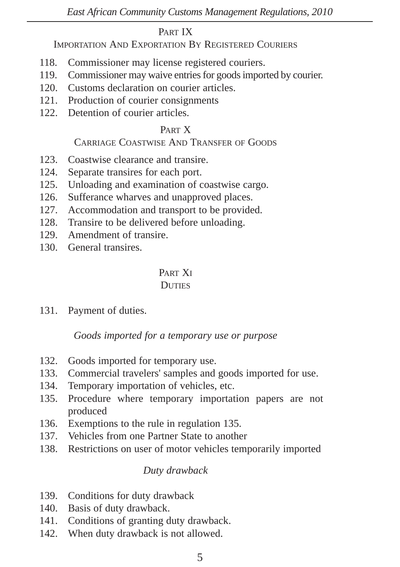#### PART IX

IMPORTATION AND EXPORTATION BY REGISTERED COURIERS

- 118. Commissioner may license registered couriers.
- 119. Commissioner may waive entries for goods imported by courier.
- 120. Customs declaration on courier articles.
- 121. Production of courier consignments
- 122. Detention of courier articles.

# PART X

## CARRIAGE COASTWISE AND TRANSFER OF GOODS

- 123. Coastwise clearance and transire.
- 124. Separate transires for each port.
- 125. Unloading and examination of coastwise cargo.
- 126. Sufferance wharves and unapproved places.
- 127. Accommodation and transport to be provided.
- 128. Transire to be delivered before unloading.
- 129. Amendment of transire.
- 130. General transires.

# PART XI

#### **DUTIES**

131. Payment of duties.

## *Goods imported for a temporary use or purpose*

- 132. Goods imported for temporary use.
- 133. Commercial travelers' samples and goods imported for use.
- 134. Temporary importation of vehicles, etc.
- 135. Procedure where temporary importation papers are not produced
- 136. Exemptions to the rule in regulation 135.
- 137. Vehicles from one Partner State to another
- 138. Restrictions on user of motor vehicles temporarily imported

## *Duty drawback*

- 139. Conditions for duty drawback
- 140. Basis of duty drawback.
- 141. Conditions of granting duty drawback.
- 142. When duty drawback is not allowed.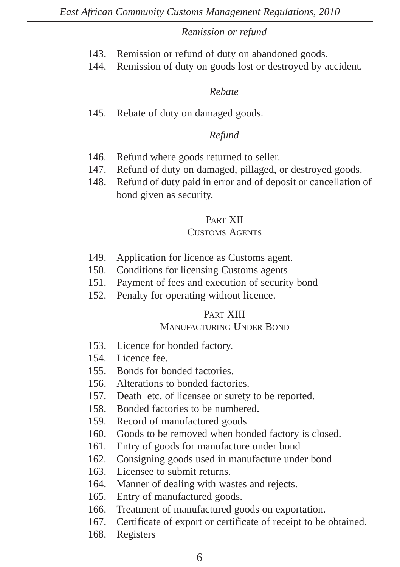#### *Remission or refund*

- 143. Remission or refund of duty on abandoned goods.
- 144. Remission of duty on goods lost or destroyed by accident.

#### *Rebate*

145. Rebate of duty on damaged goods.

## *Refund*

- 146. Refund where goods returned to seller.
- 147. Refund of duty on damaged, pillaged, or destroyed goods.
- 148. Refund of duty paid in error and of deposit or cancellation of bond given as security.

# PART XII

## CUSTOMS AGENTS

- 149. Application for licence as Customs agent.
- 150. Conditions for licensing Customs agents
- 151. Payment of fees and execution of security bond
- 152. Penalty for operating without licence.

## PART XIII

## MANUFACTURING UNDER BOND

- 153. Licence for bonded factory.
- 154. Licence fee.
- 155. Bonds for bonded factories.
- 156. Alterations to bonded factories.
- 157. Death etc. of licensee or surety to be reported.
- 158. Bonded factories to be numbered.
- 159. Record of manufactured goods
- 160. Goods to be removed when bonded factory is closed.
- 161. Entry of goods for manufacture under bond
- 162. Consigning goods used in manufacture under bond
- 163. Licensee to submit returns.
- 164. Manner of dealing with wastes and rejects.
- 165. Entry of manufactured goods.
- 166. Treatment of manufactured goods on exportation.
- 167. Certificate of export or certificate of receipt to be obtained.
- 168. Registers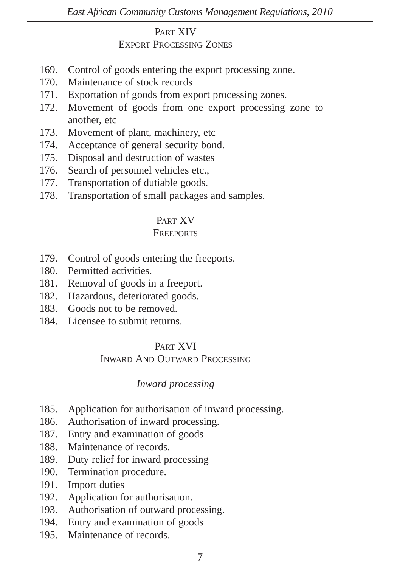#### PART XIV EXPORT PROCESSING ZONES

- 169. Control of goods entering the export processing zone.
- 170. Maintenance of stock records
- 171. Exportation of goods from export processing zones.
- 172. Movement of goods from one export processing zone to another, etc
- 173. Movement of plant, machinery, etc
- 174. Acceptance of general security bond.
- 175. Disposal and destruction of wastes
- 176. Search of personnel vehicles etc.,
- 177. Transportation of dutiable goods.
- 178. Transportation of small packages and samples.

# PART XV

## **FREEPORTS**

- 179. Control of goods entering the freeports.
- 180. Permitted activities.
- 181. Removal of goods in a freeport.
- 182. Hazardous, deteriorated goods.
- 183. Goods not to be removed.
- 184. Licensee to submit returns.

## PART XVI

## INWARD AND OUTWARD PROCESSING

# *Inward processing*

- 185. Application for authorisation of inward processing.
- 186. Authorisation of inward processing.
- 187. Entry and examination of goods
- 188. Maintenance of records.
- 189. Duty relief for inward processing
- 190. Termination procedure.
- 191. Import duties
- 192. Application for authorisation.
- 193. Authorisation of outward processing.
- 194. Entry and examination of goods
- 195. Maintenance of records.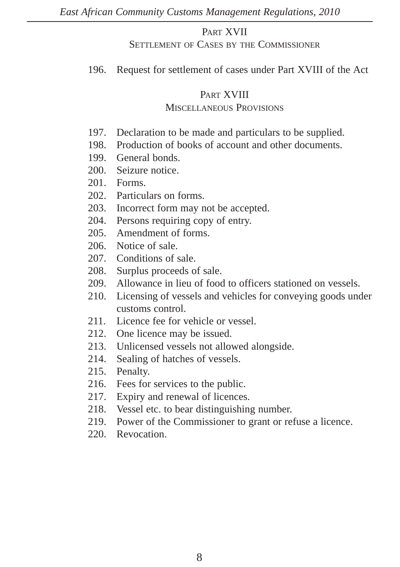#### PART XVII

#### SETTLEMENT OF CASES BY THE COMMISSIONER

196. Request for settlement of cases under Part XVIII of the Act

## PART XVIII

#### MISCELLANEOUS PROVISIONS

- 197. Declaration to be made and particulars to be supplied.
- 198. Production of books of account and other documents.
- 199. General bonds.
- 200. Seizure notice.
- 201. Forms.
- 202. Particulars on forms.
- 203. Incorrect form may not be accepted.
- 204. Persons requiring copy of entry.
- 205 Amendment of forms.
- 206 Notice of sale.
- 207. Conditions of sale.
- 208. Surplus proceeds of sale.
- 209. Allowance in lieu of food to officers stationed on vessels.
- 210. Licensing of vessels and vehicles for conveying goods under customs control.
- 211. Licence fee for vehicle or vessel.
- 212. One licence may be issued.
- 213. Unlicensed vessels not allowed alongside.<br>214. Sealing of hatches of vessels.
- Sealing of hatches of vessels.
- 215. Penalty.
- 216. Fees for services to the public.
- 217. Expiry and renewal of licences.
- 218. Vessel etc. to bear distinguishing number.
- 219. Power of the Commissioner to grant or refuse a licence.
- 220. Revocation.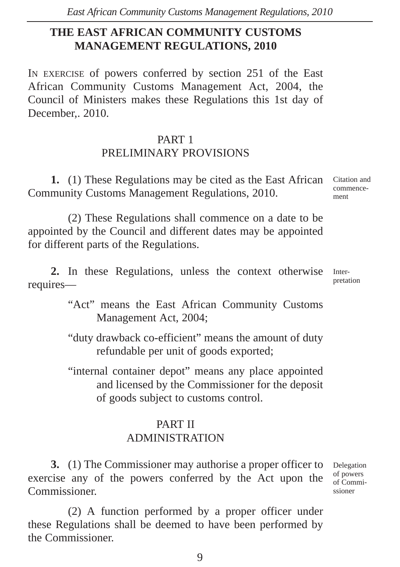# **THE EAST AFRICAN COMMUNITY CUSTOMS MANAGEMENT REGULATIONS, 2010**

IN EXERCISE of powers conferred by section 251 of the East African Community Customs Management Act, 2004, the Council of Ministers makes these Regulations this 1st day of December,. 2010.

# PART 1 PRELIMINARY PROVISIONS

**1.** (1) These Regulations may be cited as the East African Community Customs Management Regulations, 2010.

(2) These Regulations shall commence on a date to be appointed by the Council and different dates may be appointed for different parts of the Regulations.

**2.** In these Regulations, unless the context otherwise requires—

> "Act" means the East African Community Customs Management Act, 2004;

> "duty drawback co-efficient" means the amount of duty refundable per unit of goods exported;

> "internal container depot" means any place appointed and licensed by the Commissioner for the deposit of goods subject to customs control.

# PART II ADMINISTRATION

**3.** (1) The Commissioner may authorise a proper officer to exercise any of the powers conferred by the Act upon the Commissioner.

(2) A function performed by a proper officer under these Regulations shall be deemed to have been performed by the Commissioner.

Citation and commencement

Interpretation

Delegation of powers of Commissioner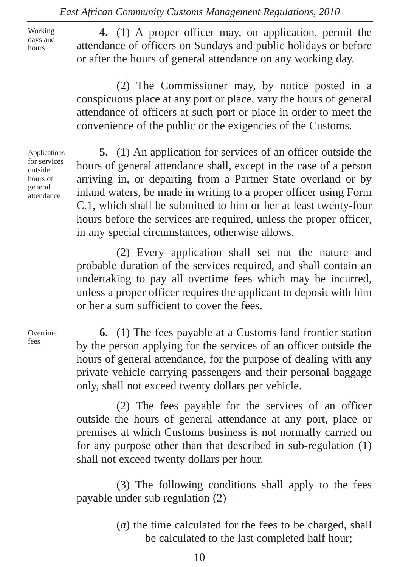Working days and hours

**4.** (1) A proper officer may, on application, permit the attendance of officers on Sundays and public holidays or before or after the hours of general attendance on any working day.

(2) The Commissioner may, by notice posted in a conspicuous place at any port or place, vary the hours of general attendance of officers at such port or place in order to meet the convenience of the public or the exigencies of the Customs.

Applications for services outside hours of general attendance

**5.** (1) An application for services of an officer outside the hours of general attendance shall, except in the case of a person arriving in, or departing from a Partner State overland or by inland waters, be made in writing to a proper officer using Form C.1, which shall be submitted to him or her at least twenty-four hours before the services are required, unless the proper officer, in any special circumstances, otherwise allows.

(2) Every application shall set out the nature and probable duration of the services required, and shall contain an undertaking to pay all overtime fees which may be incurred, unless a proper officer requires the applicant to deposit with him or her a sum sufficient to cover the fees.

**Overtime** fees

**6.** (1) The fees payable at a Customs land frontier station by the person applying for the services of an officer outside the hours of general attendance, for the purpose of dealing with any private vehicle carrying passengers and their personal baggage only, shall not exceed twenty dollars per vehicle.

(2) The fees payable for the services of an officer outside the hours of general attendance at any port, place or premises at which Customs business is not normally carried on for any purpose other than that described in sub-regulation (1) shall not exceed twenty dollars per hour.

(3) The following conditions shall apply to the fees payable under sub regulation (2)—

> (*a*) the time calculated for the fees to be charged, shall be calculated to the last completed half hour;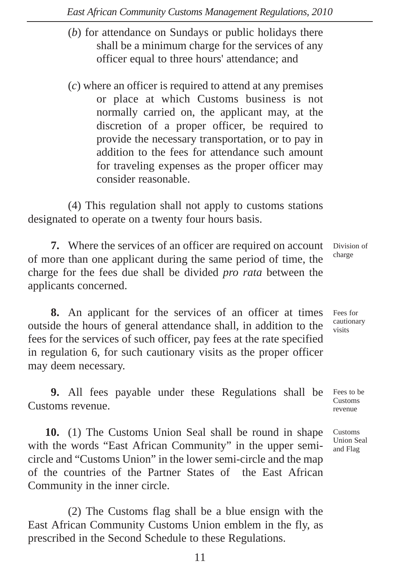- (*b*) for attendance on Sundays or public holidays there shall be a minimum charge for the services of any officer equal to three hours' attendance; and
- (*c*) where an officer is required to attend at any premises or place at which Customs business is not normally carried on, the applicant may, at the discretion of a proper officer, be required to provide the necessary transportation, or to pay in addition to the fees for attendance such amount for traveling expenses as the proper officer may consider reasonable.

(4) This regulation shall not apply to customs stations designated to operate on a twenty four hours basis.

**7.** Where the services of an officer are required on account of more than one applicant during the same period of time, the charge for the fees due shall be divided *pro rata* between the applicants concerned. Division of charge

**8.** An applicant for the services of an officer at times outside the hours of general attendance shall, in addition to the fees for the services of such officer, pay fees at the rate specified in regulation 6, for such cautionary visits as the proper officer may deem necessary. Fees for cautionary visits

**9.** All fees payable under these Regulations shall be Customs revenue.

**10.** (1) The Customs Union Seal shall be round in shape with the words "East African Community" in the upper semicircle and "Customs Union" in the lower semi-circle and the map of the countries of the Partner States of the East African Community in the inner circle.

(2) The Customs flag shall be a blue ensign with the East African Community Customs Union emblem in the fly, as prescribed in the Second Schedule to these Regulations.

Fees to be Customs revenue

Customs Union Seal and Flag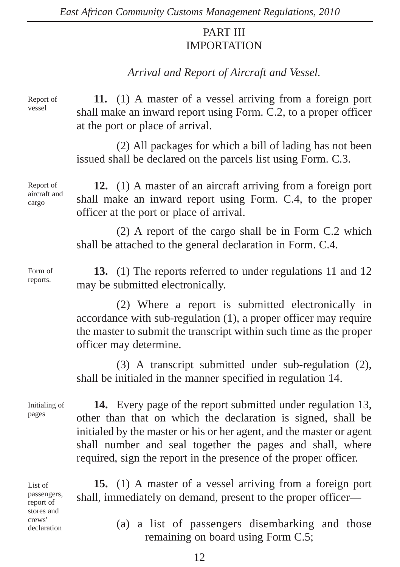# PART III IMPORTATION

# *Arrival and Report of Aircraft and Vessel.*

Report of vessel

**11.** (1) A master of a vessel arriving from a foreign port shall make an inward report using Form. C.2, to a proper officer at the port or place of arrival.

(2) All packages for which a bill of lading has not been issued shall be declared on the parcels list using Form. C.3.

Report of aircraft and cargo

**12.** (1) A master of an aircraft arriving from a foreign port shall make an inward report using Form. C.4, to the proper officer at the port or place of arrival.

(2) A report of the cargo shall be in Form C.2 which shall be attached to the general declaration in Form. C.4.

Form of reports.

**13.** (1) The reports referred to under regulations 11 and 12 may be submitted electronically.

(2) Where a report is submitted electronically in accordance with sub-regulation (1), a proper officer may require the master to submit the transcript within such time as the proper officer may determine.

(3) A transcript submitted under sub-regulation (2), shall be initialed in the manner specified in regulation 14.

Initialing of pages

**14.** Every page of the report submitted under regulation 13, other than that on which the declaration is signed, shall be initialed by the master or his or her agent, and the master or agent shall number and seal together the pages and shall, where required, sign the report in the presence of the proper officer.

List of passengers, report of stores and crews' declaration

**15.** (1) A master of a vessel arriving from a foreign port shall, immediately on demand, present to the proper officer—

> (a) a list of passengers disembarking and those remaining on board using Form C.5;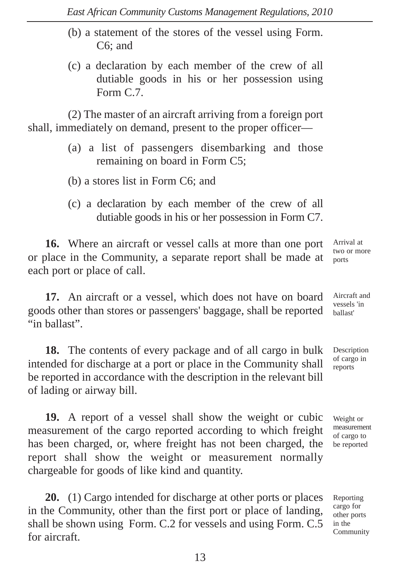- (b) a statement of the stores of the vessel using Form. C6; and
- (c) a declaration by each member of the crew of all dutiable goods in his or her possession using Form C.7.

(2) The master of an aircraft arriving from a foreign port shall, immediately on demand, present to the proper officer—

- (a) a list of passengers disembarking and those remaining on board in Form C5;
- (b) a stores list in Form C6; and
- (c) a declaration by each member of the crew of all dutiable goods in his or her possession in Form C7.

**16.** Where an aircraft or vessel calls at more than one port or place in the Community, a separate report shall be made at each port or place of call.

Arrival at two or more ports

Aircraft and vessels 'in ballast'

**17.** An aircraft or a vessel, which does not have on board goods other than stores or passengers' baggage, shall be reported "in ballast".

**18.** The contents of every package and of all cargo in bulk intended for discharge at a port or place in the Community shall be reported in accordance with the description in the relevant bill of lading or airway bill.

**19.** A report of a vessel shall show the weight or cubic measurement of the cargo reported according to which freight has been charged, or, where freight has not been charged, the report shall show the weight or measurement normally chargeable for goods of like kind and quantity.

**20.** (1) Cargo intended for discharge at other ports or places in the Community, other than the first port or place of landing, shall be shown using Form. C.2 for vessels and using Form. C.5 for aircraft.

Description of cargo in reports

Weight or measurement of cargo to be reported

Reporting cargo for other ports in the Community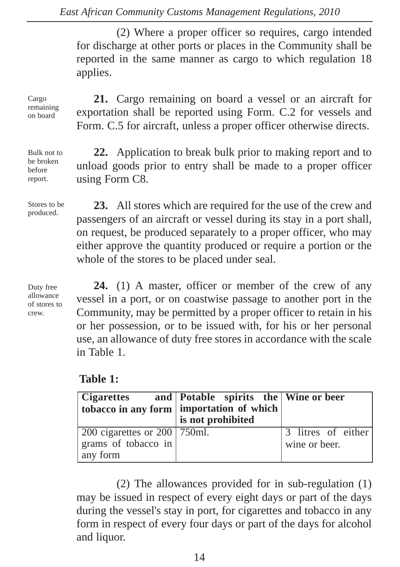(2) Where a proper officer so requires, cargo intended for discharge at other ports or places in the Community shall be reported in the same manner as cargo to which regulation 18 applies.

**21.** Cargo remaining on board a vessel or an aircraft for exportation shall be reported using Form. C.2 for vessels and Form. C.5 for aircraft, unless a proper officer otherwise directs.

**22.** Application to break bulk prior to making report and to unload goods prior to entry shall be made to a proper officer

**23.** All stores which are required for the use of the crew and

Cargo remaining on board

Bulk not to be broken before report.

Stores to be produced.

passengers of an aircraft or vessel during its stay in a port shall, on request, be produced separately to a proper officer, who may either approve the quantity produced or require a portion or the whole of the stores to be placed under seal.

Duty free allowance of stores to crew.

**24.** (1) A master, officer or member of the crew of any vessel in a port, or on coastwise passage to another port in the Community, may be permitted by a proper officer to retain in his or her possession, or to be issued with, for his or her personal use, an allowance of duty free stores in accordance with the scale in Table 1.

# **Table 1:**

using Form C8.

|                                              | Cigarettes and   Potable spirits the   Wine or beer |                    |
|----------------------------------------------|-----------------------------------------------------|--------------------|
|                                              | tobacco in any form   importation of which          |                    |
|                                              | is not prohibited                                   |                    |
| $\vert$ 200 cigarettes or 200 $\vert$ 750ml. |                                                     | 3 litres of either |
| grams of tobacco in                          |                                                     | wine or beer.      |
| any form                                     |                                                     |                    |

(2) The allowances provided for in sub-regulation (1) may be issued in respect of every eight days or part of the days during the vessel's stay in port, for cigarettes and tobacco in any form in respect of every four days or part of the days for alcohol and liquor.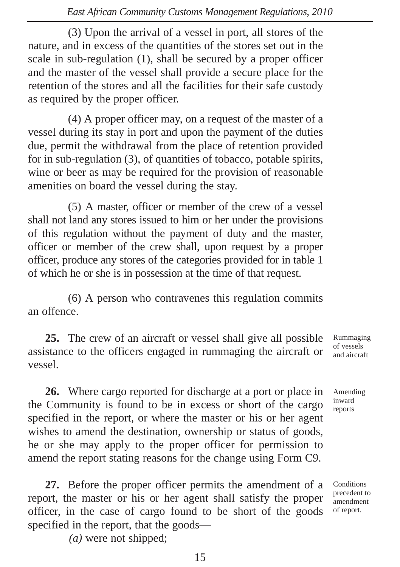(3) Upon the arrival of a vessel in port, all stores of the nature, and in excess of the quantities of the stores set out in the scale in sub-regulation (1), shall be secured by a proper officer and the master of the vessel shall provide a secure place for the retention of the stores and all the facilities for their safe custody as required by the proper officer.

(4) A proper officer may, on a request of the master of a vessel during its stay in port and upon the payment of the duties due, permit the withdrawal from the place of retention provided for in sub-regulation (3), of quantities of tobacco, potable spirits, wine or beer as may be required for the provision of reasonable amenities on board the vessel during the stay.

(5) A master, officer or member of the crew of a vessel shall not land any stores issued to him or her under the provisions of this regulation without the payment of duty and the master, officer or member of the crew shall, upon request by a proper officer, produce any stores of the categories provided for in table 1 of which he or she is in possession at the time of that request.

(6) A person who contravenes this regulation commits an offence.

**25.** The crew of an aircraft or vessel shall give all possible assistance to the officers engaged in rummaging the aircraft or vessel. Rummaging of vessels and aircraft

**26.** Where cargo reported for discharge at a port or place in the Community is found to be in excess or short of the cargo specified in the report, or where the master or his or her agent wishes to amend the destination, ownership or status of goods, he or she may apply to the proper officer for permission to amend the report stating reasons for the change using Form C9.

**27.** Before the proper officer permits the amendment of a report, the master or his or her agent shall satisfy the proper officer, in the case of cargo found to be short of the goods specified in the report, that the goods—

*(a)* were not shipped;

**Conditions** precedent to amendment of report.

Amending inward reports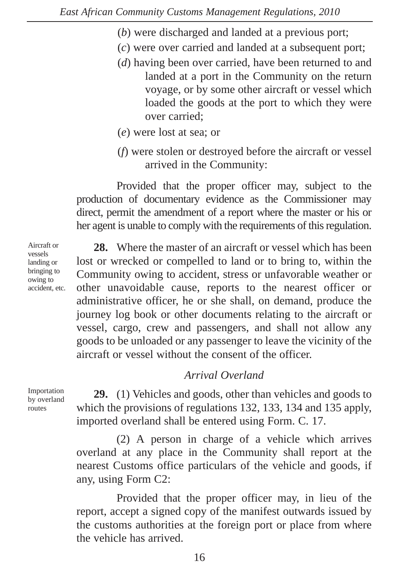- (*b*) were discharged and landed at a previous port;
- (*c*) were over carried and landed at a subsequent port;
- (*d*) having been over carried, have been returned to and landed at a port in the Community on the return voyage, or by some other aircraft or vessel which loaded the goods at the port to which they were over carried;
- (*e*) were lost at sea; or
- (*f*) were stolen or destroyed before the aircraft or vessel arrived in the Community:

Provided that the proper officer may, subject to the production of documentary evidence as the Commissioner may direct, permit the amendment of a report where the master or his or her agent is unable to comply with the requirements of this regulation.

**28.** Where the master of an aircraft or vessel which has been lost or wrecked or compelled to land or to bring to, within the Community owing to accident, stress or unfavorable weather or other unavoidable cause, reports to the nearest officer or administrative officer, he or she shall, on demand, produce the journey log book or other documents relating to the aircraft or vessel, cargo, crew and passengers, and shall not allow any goods to be unloaded or any passenger to leave the vicinity of the aircraft or vessel without the consent of the officer.

# *Arrival Overland*

Importation by overland routes

**29.** (1) Vehicles and goods, other than vehicles and goods to which the provisions of regulations 132, 133, 134 and 135 apply, imported overland shall be entered using Form. C. 17.

(2) A person in charge of a vehicle which arrives overland at any place in the Community shall report at the nearest Customs office particulars of the vehicle and goods, if any, using Form C2:

Provided that the proper officer may, in lieu of the report, accept a signed copy of the manifest outwards issued by the customs authorities at the foreign port or place from where the vehicle has arrived.

Aircraft or vessels landing or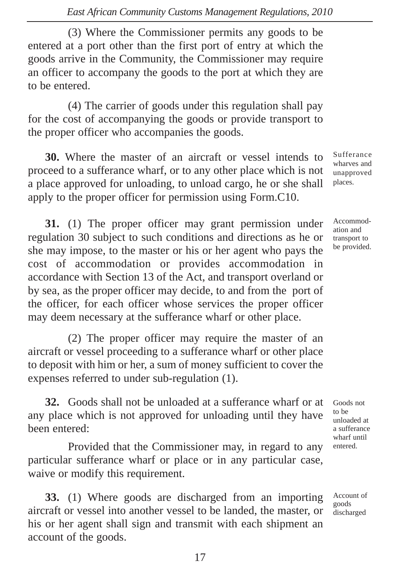(3) Where the Commissioner permits any goods to be entered at a port other than the first port of entry at which the goods arrive in the Community, the Commissioner may require an officer to accompany the goods to the port at which they are to be entered.

(4) The carrier of goods under this regulation shall pay for the cost of accompanying the goods or provide transport to the proper officer who accompanies the goods.

**30.** Where the master of an aircraft or vessel intends to proceed to a sufferance wharf, or to any other place which is not a place approved for unloading, to unload cargo, he or she shall apply to the proper officer for permission using Form.C10.

**31.** (1) The proper officer may grant permission under regulation 30 subject to such conditions and directions as he or she may impose, to the master or his or her agent who pays the cost of accommodation or provides accommodation in accordance with Section 13 of the Act, and transport overland or by sea, as the proper officer may decide, to and from the port of the officer, for each officer whose services the proper officer may deem necessary at the sufferance wharf or other place.

(2) The proper officer may require the master of an aircraft or vessel proceeding to a sufferance wharf or other place to deposit with him or her, a sum of money sufficient to cover the expenses referred to under sub-regulation (1).

**32.** Goods shall not be unloaded at a sufferance wharf or at any place which is not approved for unloading until they have been entered:

Provided that the Commissioner may, in regard to any particular sufferance wharf or place or in any particular case, waive or modify this requirement.

**33.** (1) Where goods are discharged from an importing aircraft or vessel into another vessel to be landed, the master, or his or her agent shall sign and transmit with each shipment an account of the goods.

Sufferance wharves and unapproved places.

Accommodation and transport to be provided.

Goods not to be unloaded at a sufferance wharf until entered.

Account of goods discharged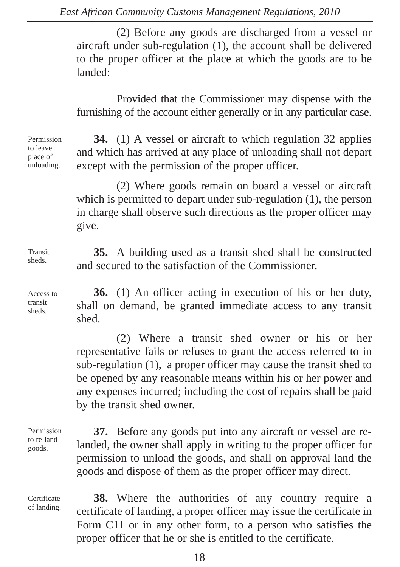(2) Before any goods are discharged from a vessel or aircraft under sub-regulation (1), the account shall be delivered to the proper officer at the place at which the goods are to be landed:

Provided that the Commissioner may dispense with the furnishing of the account either generally or in any particular case.

Permission to leave place of unloading.

**34.** (1) A vessel or aircraft to which regulation 32 applies and which has arrived at any place of unloading shall not depart except with the permission of the proper officer.

(2) Where goods remain on board a vessel or aircraft which is permitted to depart under sub-regulation (1), the person in charge shall observe such directions as the proper officer may give.

**35.** A building used as a transit shed shall be constructed and secured to the satisfaction of the Commissioner.

Access to transit sheds.

Transit sheds.

> **36.** (1) An officer acting in execution of his or her duty, shall on demand, be granted immediate access to any transit shed.

> (2) Where a transit shed owner or his or her representative fails or refuses to grant the access referred to in sub-regulation (1), a proper officer may cause the transit shed to be opened by any reasonable means within his or her power and any expenses incurred; including the cost of repairs shall be paid by the transit shed owner.

Permission to re-land goods.

Certificate of landing.

**37.** Before any goods put into any aircraft or vessel are relanded, the owner shall apply in writing to the proper officer for permission to unload the goods, and shall on approval land the goods and dispose of them as the proper officer may direct.

**38.** Where the authorities of any country require a certificate of landing, a proper officer may issue the certificate in Form C11 or in any other form, to a person who satisfies the proper officer that he or she is entitled to the certificate.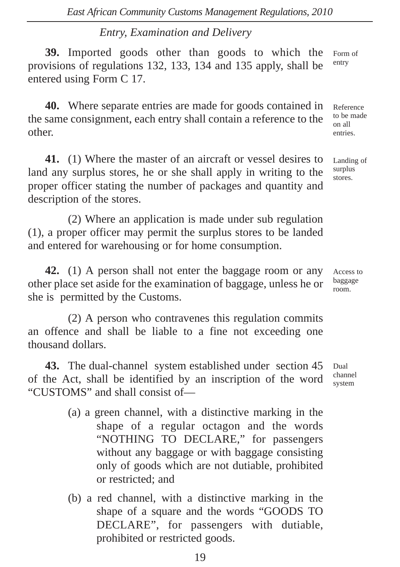# *Entry, Examination and Delivery*

**39.** Imported goods other than goods to which the provisions of regulations 132, 133, 134 and 135 apply, shall be entered using Form C 17. Form of entry

**40.** Where separate entries are made for goods contained in the same consignment, each entry shall contain a reference to the other.

**41.** (1) Where the master of an aircraft or vessel desires to land any surplus stores, he or she shall apply in writing to the proper officer stating the number of packages and quantity and description of the stores.

(2) Where an application is made under sub regulation (1), a proper officer may permit the surplus stores to be landed and entered for warehousing or for home consumption.

**42.** (1) A person shall not enter the baggage room or any other place set aside for the examination of baggage, unless he or she is permitted by the Customs.

(2) A person who contravenes this regulation commits an offence and shall be liable to a fine not exceeding one thousand dollars.

**43.** The dual-channel system established under section 45 of the Act, shall be identified by an inscription of the word "CUSTOMS" and shall consist of—

- (a) a green channel, with a distinctive marking in the shape of a regular octagon and the words "NOTHING TO DECLARE," for passengers without any baggage or with baggage consisting only of goods which are not dutiable, prohibited or restricted; and
- (b) a red channel, with a distinctive marking in the shape of a square and the words "GOODS TO DECLARE", for passengers with dutiable, prohibited or restricted goods.

Reference to be made on all entries.

Landing of surplus stores.

Access to baggage room.

Dual channel system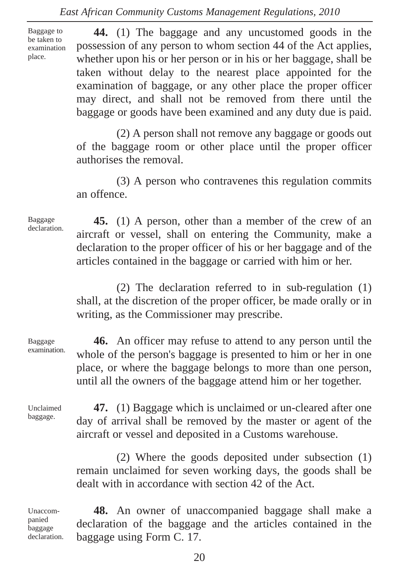Baggage to be taken to examination place.

**44.** (1) The baggage and any uncustomed goods in the possession of any person to whom section 44 of the Act applies, whether upon his or her person or in his or her baggage, shall be taken without delay to the nearest place appointed for the examination of baggage, or any other place the proper officer may direct, and shall not be removed from there until the baggage or goods have been examined and any duty due is paid.

(2) A person shall not remove any baggage or goods out of the baggage room or other place until the proper officer authorises the removal.

(3) A person who contravenes this regulation commits an offence.

Baggage declaration.

**45.** (1) A person, other than a member of the crew of an aircraft or vessel, shall on entering the Community, make a declaration to the proper officer of his or her baggage and of the articles contained in the baggage or carried with him or her.

(2) The declaration referred to in sub-regulation (1) shall, at the discretion of the proper officer, be made orally or in writing, as the Commissioner may prescribe.

Baggage examination.

**46.** An officer may refuse to attend to any person until the whole of the person's baggage is presented to him or her in one place, or where the baggage belongs to more than one person, until all the owners of the baggage attend him or her together.

Unclaimed baggage.

**47.** (1) Baggage which is unclaimed or un-cleared after one day of arrival shall be removed by the master or agent of the aircraft or vessel and deposited in a Customs warehouse.

(2) Where the goods deposited under subsection (1) remain unclaimed for seven working days, the goods shall be dealt with in accordance with section 42 of the Act.

Unaccompanied baggage declaration.

**48.** An owner of unaccompanied baggage shall make a declaration of the baggage and the articles contained in the baggage using Form C. 17.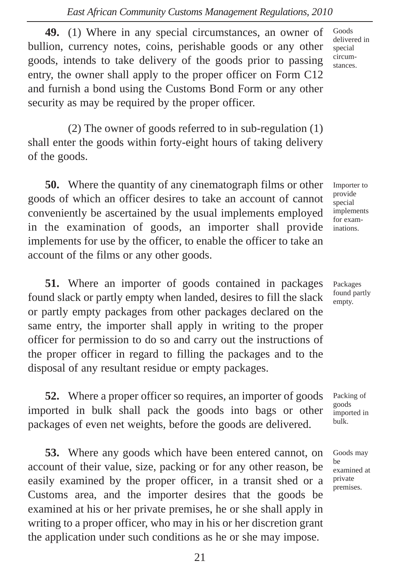**49.** (1) Where in any special circumstances, an owner of bullion, currency notes, coins, perishable goods or any other goods, intends to take delivery of the goods prior to passing entry, the owner shall apply to the proper officer on Form C12 and furnish a bond using the Customs Bond Form or any other security as may be required by the proper officer.

(2) The owner of goods referred to in sub-regulation (1) shall enter the goods within forty-eight hours of taking delivery of the goods.

**50.** Where the quantity of any cinematograph films or other goods of which an officer desires to take an account of cannot conveniently be ascertained by the usual implements employed in the examination of goods, an importer shall provide implements for use by the officer, to enable the officer to take an account of the films or any other goods.

**51.** Where an importer of goods contained in packages found slack or partly empty when landed, desires to fill the slack or partly empty packages from other packages declared on the same entry, the importer shall apply in writing to the proper officer for permission to do so and carry out the instructions of the proper officer in regard to filling the packages and to the disposal of any resultant residue or empty packages.

**52.** Where a proper officer so requires, an importer of goods imported in bulk shall pack the goods into bags or other packages of even net weights, before the goods are delivered.

**53.** Where any goods which have been entered cannot, on account of their value, size, packing or for any other reason, be easily examined by the proper officer, in a transit shed or a Customs area, and the importer desires that the goods be examined at his or her private premises, he or she shall apply in writing to a proper officer, who may in his or her discretion grant the application under such conditions as he or she may impose.

Goods delivered in special circumstances.

Importer to provide special implements for examinations.

Packages found partly empty.

Packing of goods imported in bulk.

Goods may be examined at private premises.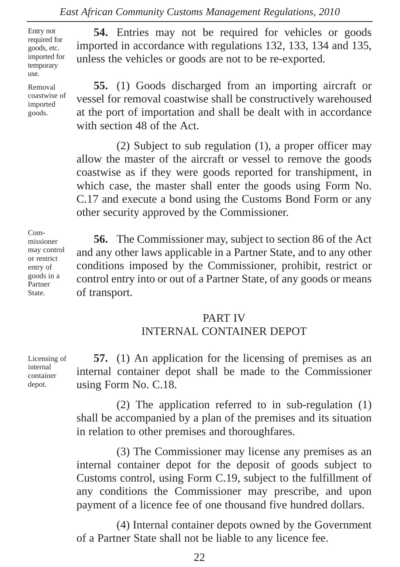Entry not required for goods, etc. imported for temporary use.

Removal coastwise of imported goods.

**54.** Entries may not be required for vehicles or goods imported in accordance with regulations 132, 133, 134 and 135, unless the vehicles or goods are not to be re-exported.

**55.** (1) Goods discharged from an importing aircraft or vessel for removal coastwise shall be constructively warehoused at the port of importation and shall be dealt with in accordance with section 48 of the Act.

(2) Subject to sub regulation (1), a proper officer may allow the master of the aircraft or vessel to remove the goods coastwise as if they were goods reported for transhipment, in which case, the master shall enter the goods using Form No. C.17 and execute a bond using the Customs Bond Form or any other security approved by the Commissioner.

Commissioner may control or restrict entry of goods in a Partner State.

**56.** The Commissioner may, subject to section 86 of the Act and any other laws applicable in a Partner State, and to any other conditions imposed by the Commissioner, prohibit, restrict or control entry into or out of a Partner State, of any goods or means of transport.

#### PART IV INTERNAL CONTAINER DEPOT

**57.** (1) An application for the licensing of premises as an internal container depot shall be made to the Commissioner using Form No. C.18.

(2) The application referred to in sub-regulation (1) shall be accompanied by a plan of the premises and its situation in relation to other premises and thoroughfares.

(3) The Commissioner may license any premises as an internal container depot for the deposit of goods subject to Customs control, using Form C.19, subject to the fulfillment of any conditions the Commissioner may prescribe, and upon payment of a licence fee of one thousand five hundred dollars.

(4) Internal container depots owned by the Government of a Partner State shall not be liable to any licence fee.

Licensing of internal container depot.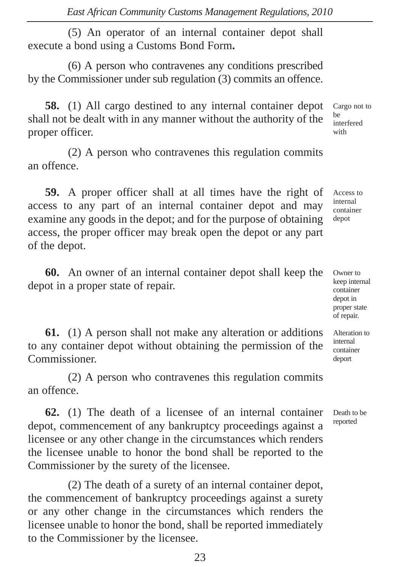(5) An operator of an internal container depot shall execute a bond using a Customs Bond Form**.**

(6) A person who contravenes any conditions prescribed by the Commissioner under sub regulation (3) commits an offence.

**58.** (1) All cargo destined to any internal container depot shall not be dealt with in any manner without the authority of the proper officer.

(2) A person who contravenes this regulation commits an offence.

**59.** A proper officer shall at all times have the right of access to any part of an internal container depot and may examine any goods in the depot; and for the purpose of obtaining access, the proper officer may break open the depot or any part of the depot.

**60.** An owner of an internal container depot shall keep the depot in a proper state of repair.

**61.** (1) A person shall not make any alteration or additions to any container depot without obtaining the permission of the Commissioner.

(2) A person who contravenes this regulation commits an offence.

**62.** (1) The death of a licensee of an internal container depot, commencement of any bankruptcy proceedings against a licensee or any other change in the circumstances which renders the licensee unable to honor the bond shall be reported to the Commissioner by the surety of the licensee.

(2) The death of a surety of an internal container depot, the commencement of bankruptcy proceedings against a surety or any other change in the circumstances which renders the licensee unable to honor the bond, shall be reported immediately to the Commissioner by the licensee.

be interfered with

Cargo not to

Access to internal container depot

Owner to keep internal container depot in proper state of repair.

Alteration to internal container deport

Death to be reported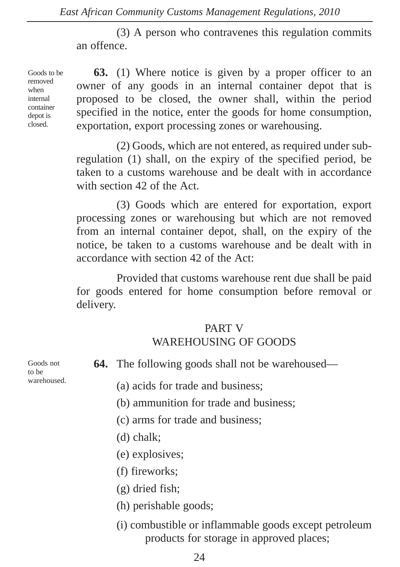(3) A person who contravenes this regulation commits an offence.

Goods to be removed when internal container depot is closed.

**63.** (1) Where notice is given by a proper officer to an owner of any goods in an internal container depot that is proposed to be closed, the owner shall, within the period specified in the notice, enter the goods for home consumption, exportation, export processing zones or warehousing.

(2) Goods, which are not entered, as required under subregulation (1) shall, on the expiry of the specified period, be taken to a customs warehouse and be dealt with in accordance with section 42 of the Act.

(3) Goods which are entered for exportation, export processing zones or warehousing but which are not removed from an internal container depot, shall, on the expiry of the notice, be taken to a customs warehouse and be dealt with in accordance with section 42 of the Act:

Provided that customs warehouse rent due shall be paid for goods entered for home consumption before removal or delivery.

## PART V WAREHOUSING OF GOODS

**64.** The following goods shall not be warehoused—

(a) acids for trade and business;

(b) ammunition for trade and business;

(c) arms for trade and business;

- (d) chalk;
- (e) explosives;
- (f) fireworks;
- (g) dried fish;
- (h) perishable goods;
- (i) combustible or inflammable goods except petroleum products for storage in approved places;

Goods not to be warehoused.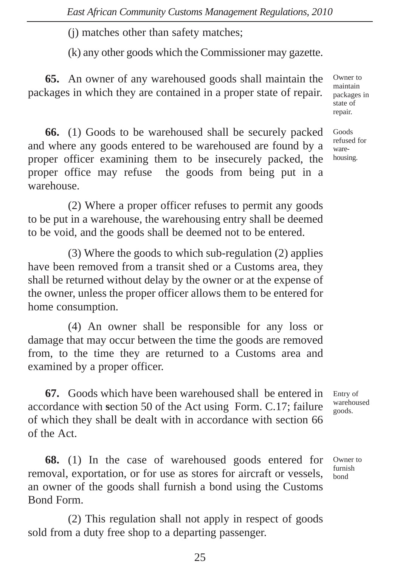(j) matches other than safety matches;

(k) any other goods which the Commissioner may gazette.

**65.** An owner of any warehoused goods shall maintain the packages in which they are contained in a proper state of repair.

Owner to maintain packages in state of repair.

Goods refused for warehousing.

**66.** (1) Goods to be warehoused shall be securely packed and where any goods entered to be warehoused are found by a proper officer examining them to be insecurely packed, the proper office may refuse the goods from being put in a warehouse.

(2) Where a proper officer refuses to permit any goods to be put in a warehouse, the warehousing entry shall be deemed to be void, and the goods shall be deemed not to be entered.

(3) Where the goods to which sub-regulation (2) applies have been removed from a transit shed or a Customs area, they shall be returned without delay by the owner or at the expense of the owner, unless the proper officer allows them to be entered for home consumption.

(4) An owner shall be responsible for any loss or damage that may occur between the time the goods are removed from, to the time they are returned to a Customs area and examined by a proper officer.

**67.** Goods which have been warehoused shall be entered in accordance with **s**ection 50 of the Act using Form. C.17; failure of which they shall be dealt with in accordance with section 66 of the Act.

**68.** (1) In the case of warehoused goods entered for removal, exportation, or for use as stores for aircraft or vessels, an owner of the goods shall furnish a bond using the Customs Bond Form.

(2) This regulation shall not apply in respect of goods sold from a duty free shop to a departing passenger.

Entry of warehoused goods.

Owner to furnish bond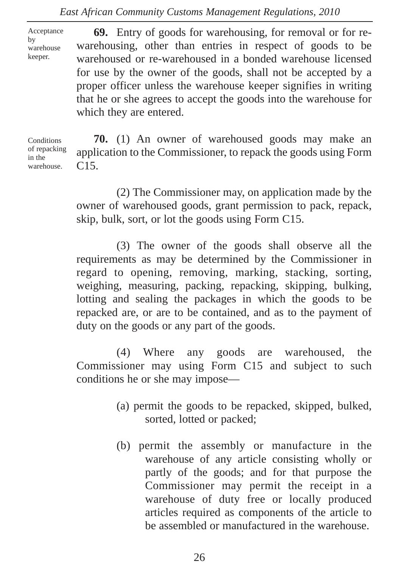Acceptance by warehouse keeper.

**69.** Entry of goods for warehousing, for removal or for rewarehousing, other than entries in respect of goods to be warehoused or re-warehoused in a bonded warehouse licensed for use by the owner of the goods, shall not be accepted by a proper officer unless the warehouse keeper signifies in writing that he or she agrees to accept the goods into the warehouse for which they are entered.

**Conditions** of repacking in the warehouse.

**70.** (1) An owner of warehoused goods may make an application to the Commissioner, to repack the goods using Form  $C15.$ 

(2) The Commissioner may, on application made by the owner of warehoused goods, grant permission to pack, repack, skip, bulk, sort, or lot the goods using Form C15.

(3) The owner of the goods shall observe all the requirements as may be determined by the Commissioner in regard to opening, removing, marking, stacking, sorting, weighing, measuring, packing, repacking, skipping, bulking, lotting and sealing the packages in which the goods to be repacked are, or are to be contained, and as to the payment of duty on the goods or any part of the goods.

(4) Where any goods are warehoused, the Commissioner may using Form C15 and subject to such conditions he or she may impose—

- (a) permit the goods to be repacked, skipped, bulked, sorted, lotted or packed;
- (b) permit the assembly or manufacture in the warehouse of any article consisting wholly or partly of the goods; and for that purpose the Commissioner may permit the receipt in a warehouse of duty free or locally produced articles required as components of the article to be assembled or manufactured in the warehouse.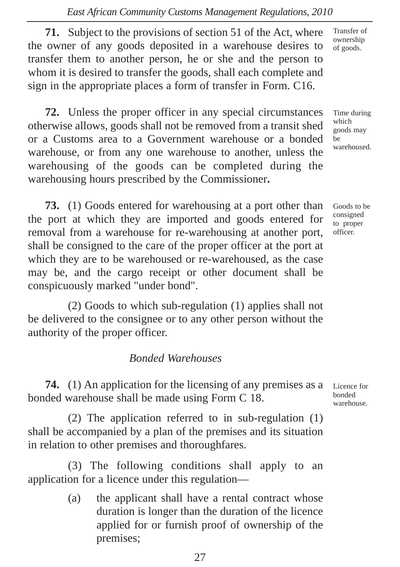**71.** Subject to the provisions of section 51 of the Act, where the owner of any goods deposited in a warehouse desires to transfer them to another person, he or she and the person to whom it is desired to transfer the goods, shall each complete and sign in the appropriate places a form of transfer in Form. C16.

**72.** Unless the proper officer in any special circumstances otherwise allows, goods shall not be removed from a transit shed or a Customs area to a Government warehouse or a bonded warehouse, or from any one warehouse to another, unless the warehousing of the goods can be completed during the warehousing hours prescribed by the Commissioner**.**

**73.** (1) Goods entered for warehousing at a port other than the port at which they are imported and goods entered for removal from a warehouse for re-warehousing at another port, shall be consigned to the care of the proper officer at the port at which they are to be warehoused or re-warehoused, as the case may be, and the cargo receipt or other document shall be conspicuously marked "under bond".

(2) Goods to which sub-regulation (1) applies shall not be delivered to the consignee or to any other person without the authority of the proper officer.

# *Bonded Warehouses*

**74.** (1) An application for the licensing of any premises as a bonded warehouse shall be made using Form C 18.

(2) The application referred to in sub-regulation (1) shall be accompanied by a plan of the premises and its situation in relation to other premises and thoroughfares.

(3) The following conditions shall apply to an application for a licence under this regulation—

> (a) the applicant shall have a rental contract whose duration is longer than the duration of the licence applied for or furnish proof of ownership of the premises;

Transfer of ownership of goods.

Time during which goods may be warehoused.

Goods to be consigned to proper officer.

Licence for bonded warehouse.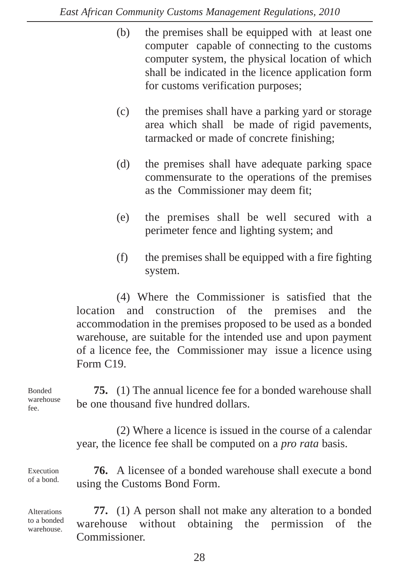- (b) the premises shall be equipped with at least one computer capable of connecting to the customs computer system, the physical location of which shall be indicated in the licence application form for customs verification purposes;
- (c) the premises shall have a parking yard or storage area which shall be made of rigid pavements, tarmacked or made of concrete finishing;
- (d) the premises shall have adequate parking space commensurate to the operations of the premises as the Commissioner may deem fit;
- (e) the premises shall be well secured with a perimeter fence and lighting system; and
- (f) the premises shall be equipped with a fire fighting system.

(4) Where the Commissioner is satisfied that the location and construction of the premises and the accommodation in the premises proposed to be used as a bonded warehouse, are suitable for the intended use and upon payment of a licence fee, the Commissioner may issue a licence using Form C19.

Bonded warehouse fee.

**75.** (1) The annual licence fee for a bonded warehouse shall be one thousand five hundred dollars.

(2) Where a licence is issued in the course of a calendar year, the licence fee shall be computed on a *pro rata* basis.

Execution of a bond.

**Alterations** to a bonded warehouse.

**76.** A licensee of a bonded warehouse shall execute a bond using the Customs Bond Form.

**77.** (1) A person shall not make any alteration to a bonded warehouse without obtaining the permission of the Commissioner.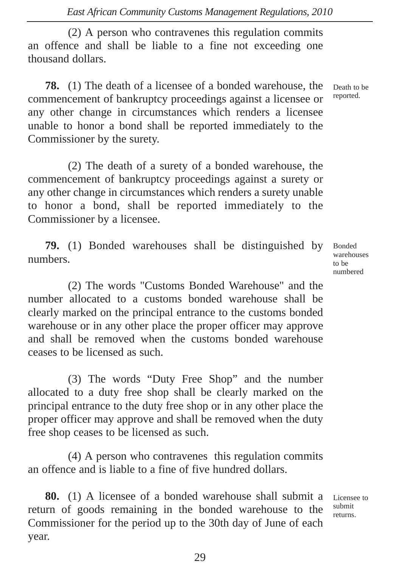(2) A person who contravenes this regulation commits an offence and shall be liable to a fine not exceeding one thousand dollars.

**78.** (1) The death of a licensee of a bonded warehouse, the commencement of bankruptcy proceedings against a licensee or any other change in circumstances which renders a licensee unable to honor a bond shall be reported immediately to the Commissioner by the surety.

(2) The death of a surety of a bonded warehouse, the commencement of bankruptcy proceedings against a surety or any other change in circumstances which renders a surety unable to honor a bond, shall be reported immediately to the Commissioner by a licensee.

**79.** (1) Bonded warehouses shall be distinguished by numbers.

(2) The words "Customs Bonded Warehouse" and the number allocated to a customs bonded warehouse shall be clearly marked on the principal entrance to the customs bonded warehouse or in any other place the proper officer may approve and shall be removed when the customs bonded warehouse ceases to be licensed as such.

(3) The words "Duty Free Shop" and the number allocated to a duty free shop shall be clearly marked on the principal entrance to the duty free shop or in any other place the proper officer may approve and shall be removed when the duty free shop ceases to be licensed as such.

(4) A person who contravenes this regulation commits an offence and is liable to a fine of five hundred dollars.

**80.** (1) A licensee of a bonded warehouse shall submit a return of goods remaining in the bonded warehouse to the Commissioner for the period up to the 30th day of June of each year.

Bonded warehouses to be numbered

Death to be reported.

Licensee to submit returns.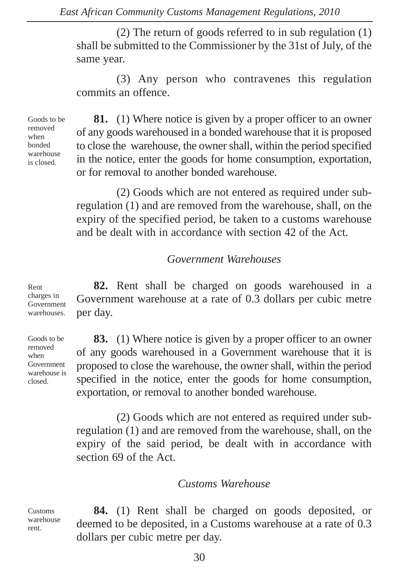(2) The return of goods referred to in sub regulation (1) shall be submitted to the Commissioner by the 31st of July, of the same year.

(3) Any person who contravenes this regulation commits an offence.

Goods to be removed when bonded warehouse is closed.

**81.** (1) Where notice is given by a proper officer to an owner of any goods warehoused in a bonded warehouse that it is proposed to close the warehouse, the owner shall, within the period specified in the notice, enter the goods for home consumption, exportation, or for removal to another bonded warehouse.

(2) Goods which are not entered as required under subregulation (1) and are removed from the warehouse, shall, on the expiry of the specified period, be taken to a customs warehouse and be dealt with in accordance with section 42 of the Act.

#### *Government Warehouses*

**82.** Rent shall be charged on goods warehoused in a Government warehouse at a rate of 0.3 dollars per cubic metre per day. charges in Government warehouses.

Goods to be removed when Government warehouse is closed.

Rent

**83.** (1) Where notice is given by a proper officer to an owner of any goods warehoused in a Government warehouse that it is proposed to close the warehouse, the owner shall, within the period specified in the notice, enter the goods for home consumption, exportation, or removal to another bonded warehouse.

(2) Goods which are not entered as required under subregulation (1) and are removed from the warehouse, shall, on the expiry of the said period, be dealt with in accordance with section 69 of the Act.

#### *Customs Warehouse*

Customs warehouse rent.

**84.** (1) Rent shall be charged on goods deposited, or deemed to be deposited, in a Customs warehouse at a rate of 0.3 dollars per cubic metre per day.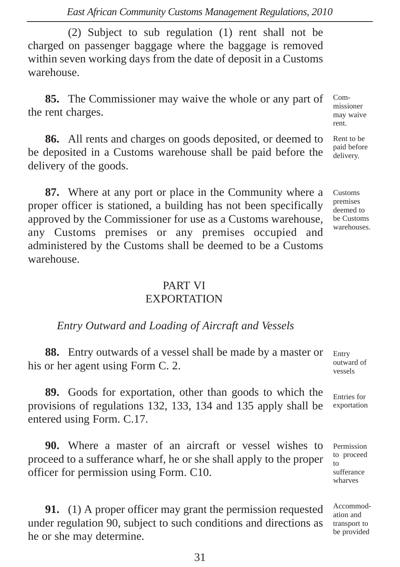(2) Subject to sub regulation (1) rent shall not be charged on passenger baggage where the baggage is removed within seven working days from the date of deposit in a Customs warehouse.

**85.** The Commissioner may waive the whole or any part of the rent charges.

**86.** All rents and charges on goods deposited, or deemed to be deposited in a Customs warehouse shall be paid before the delivery of the goods.

**87.** Where at any port or place in the Community where a proper officer is stationed, a building has not been specifically approved by the Commissioner for use as a Customs warehouse, any Customs premises or any premises occupied and administered by the Customs shall be deemed to be a Customs warehouse.

# PART VI **EXPORTATION**

## *Entry Outward and Loading of Aircraft and Vessels*

**88.** Entry outwards of a vessel shall be made by a master or his or her agent using Form C. 2.

**89.** Goods for exportation, other than goods to which the provisions of regulations 132, 133, 134 and 135 apply shall be entered using Form. C.17.

**90.** Where a master of an aircraft or vessel wishes to proceed to a sufferance wharf, he or she shall apply to the proper officer for permission using Form. C10.

**91.** (1) A proper officer may grant the permission requested under regulation 90, subject to such conditions and directions as he or she may determine.

Commissioner may waive rent.

Rent to be paid before delivery.

Customs premises deemed to be Customs warehouses.

Entry outward of vessels

Entries for exportation

Permission to proceed  $\overline{f}$ sufferance wharves

Accommodation and transport to be provided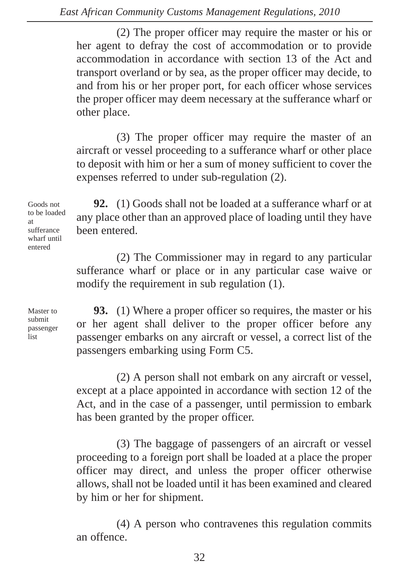(2) The proper officer may require the master or his or her agent to defray the cost of accommodation or to provide accommodation in accordance with section 13 of the Act and transport overland or by sea, as the proper officer may decide, to and from his or her proper port, for each officer whose services the proper officer may deem necessary at the sufferance wharf or other place.

(3) The proper officer may require the master of an aircraft or vessel proceeding to a sufferance wharf or other place to deposit with him or her a sum of money sufficient to cover the expenses referred to under sub-regulation (2).

**92.** (1) Goods shall not be loaded at a sufferance wharf or at any place other than an approved place of loading until they have been entered. to be loaded

> (2) The Commissioner may in regard to any particular sufferance wharf or place or in any particular case waive or modify the requirement in sub regulation (1).

Master to submit passenger list

Goods not

at sufferance wharf until entered

> **93.** (1) Where a proper officer so requires, the master or his or her agent shall deliver to the proper officer before any passenger embarks on any aircraft or vessel, a correct list of the passengers embarking using Form C5.

> (2) A person shall not embark on any aircraft or vessel, except at a place appointed in accordance with section 12 of the Act, and in the case of a passenger, until permission to embark has been granted by the proper officer.

> (3) The baggage of passengers of an aircraft or vessel proceeding to a foreign port shall be loaded at a place the proper officer may direct, and unless the proper officer otherwise allows, shall not be loaded until it has been examined and cleared by him or her for shipment.

> (4) A person who contravenes this regulation commits an offence.

> > 32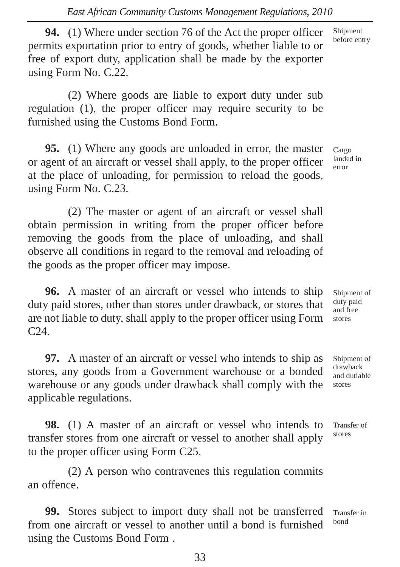**94.** (1) Where under section 76 of the Act the proper officer permits exportation prior to entry of goods, whether liable to or free of export duty, application shall be made by the exporter using Form No. C.22.

(2) Where goods are liable to export duty under sub regulation (1), the proper officer may require security to be furnished using the Customs Bond Form.

**95.** (1) Where any goods are unloaded in error, the master or agent of an aircraft or vessel shall apply, to the proper officer at the place of unloading, for permission to reload the goods, using Form No. C.23.

Cargo landed in error

Shipment before entry

(2) The master or agent of an aircraft or vessel shall obtain permission in writing from the proper officer before removing the goods from the place of unloading, and shall observe all conditions in regard to the removal and reloading of the goods as the proper officer may impose.

**96.** A master of an aircraft or vessel who intends to ship duty paid stores, other than stores under drawback, or stores that are not liable to duty, shall apply to the proper officer using Form C24.

**97.** A master of an aircraft or vessel who intends to ship as stores, any goods from a Government warehouse or a bonded warehouse or any goods under drawback shall comply with the applicable regulations.

**98.** (1) A master of an aircraft or vessel who intends to transfer stores from one aircraft or vessel to another shall apply to the proper officer using Form C25.

(2) A person who contravenes this regulation commits an offence.

**99.** Stores subject to import duty shall not be transferred from one aircraft or vessel to another until a bond is furnished using the Customs Bond Form .

Shipment of duty paid and free stores

Shipment of drawback and dutiable stores

Transfer of stores

Transfer in bond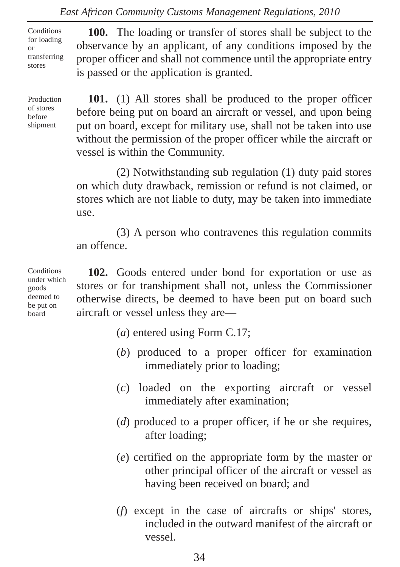**Conditions** for loading or transferring stores

Production of stores before shipment

**100.** The loading or transfer of stores shall be subject to the observance by an applicant, of any conditions imposed by the proper officer and shall not commence until the appropriate entry is passed or the application is granted.

**101.** (1) All stores shall be produced to the proper officer before being put on board an aircraft or vessel, and upon being put on board, except for military use, shall not be taken into use without the permission of the proper officer while the aircraft or vessel is within the Community.

(2) Notwithstanding sub regulation (1) duty paid stores on which duty drawback, remission or refund is not claimed, or stores which are not liable to duty, may be taken into immediate use.

(3) A person who contravenes this regulation commits an offence.

**102.** Goods entered under bond for exportation or use as stores or for transhipment shall not, unless the Commissioner otherwise directs, be deemed to have been put on board such aircraft or vessel unless they are—

- (*a*) entered using Form C.17;
- (*b*) produced to a proper officer for examination immediately prior to loading;
- (*c*) loaded on the exporting aircraft or vessel immediately after examination;
- (*d*) produced to a proper officer, if he or she requires, after loading;
- (*e*) certified on the appropriate form by the master or other principal officer of the aircraft or vessel as having been received on board; and
- (*f*) except in the case of aircrafts or ships' stores, included in the outward manifest of the aircraft or vessel.

**Conditions** under which goods deemed to be put on board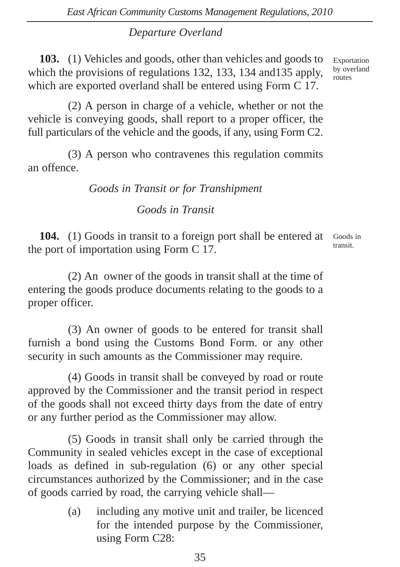# *Departure Overland*

**103.** (1) Vehicles and goods, other than vehicles and goods to which the provisions of regulations 132, 133, 134 and135 apply, which are exported overland shall be entered using Form C 17.

(2) A person in charge of a vehicle, whether or not the vehicle is conveying goods, shall report to a proper officer, the full particulars of the vehicle and the goods, if any, using Form C2.

(3) A person who contravenes this regulation commits an offence.

# *Goods in Transit or for Transhipment*

*Goods in Transit*

**104.** (1) Goods in transit to a foreign port shall be entered at the port of importation using Form C 17.

Goods in transit.

(2) An owner of the goods in transit shall at the time of entering the goods produce documents relating to the goods to a proper officer.

(3) An owner of goods to be entered for transit shall furnish a bond using the Customs Bond Form. or any other security in such amounts as the Commissioner may require.

(4) Goods in transit shall be conveyed by road or route approved by the Commissioner and the transit period in respect of the goods shall not exceed thirty days from the date of entry or any further period as the Commissioner may allow.

(5) Goods in transit shall only be carried through the Community in sealed vehicles except in the case of exceptional loads as defined in sub-regulation (6) or any other special circumstances authorized by the Commissioner; and in the case of goods carried by road, the carrying vehicle shall—

> (a) including any motive unit and trailer, be licenced for the intended purpose by the Commissioner, using Form C28: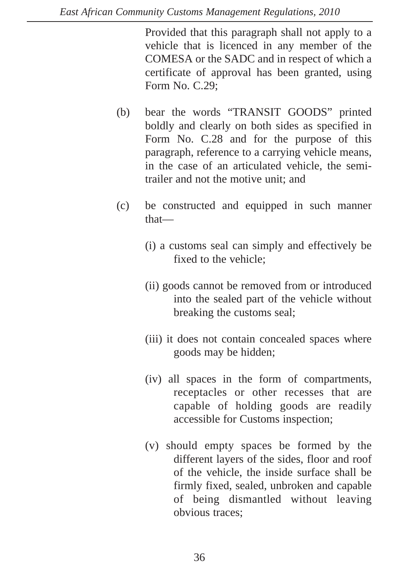Provided that this paragraph shall not apply to a vehicle that is licenced in any member of the COMESA or the SADC and in respect of which a certificate of approval has been granted, using Form No. C.29;

- (b) bear the words "TRANSIT GOODS" printed boldly and clearly on both sides as specified in Form No. C.28 and for the purpose of this paragraph, reference to a carrying vehicle means, in the case of an articulated vehicle, the semitrailer and not the motive unit; and
- (c) be constructed and equipped in such manner that—
	- (i) a customs seal can simply and effectively be fixed to the vehicle;
	- (ii) goods cannot be removed from or introduced into the sealed part of the vehicle without breaking the customs seal;
	- (iii) it does not contain concealed spaces where goods may be hidden;
	- (iv) all spaces in the form of compartments, receptacles or other recesses that are capable of holding goods are readily accessible for Customs inspection;
	- (v) should empty spaces be formed by the different layers of the sides, floor and roof of the vehicle, the inside surface shall be firmly fixed, sealed, unbroken and capable of being dismantled without leaving obvious traces;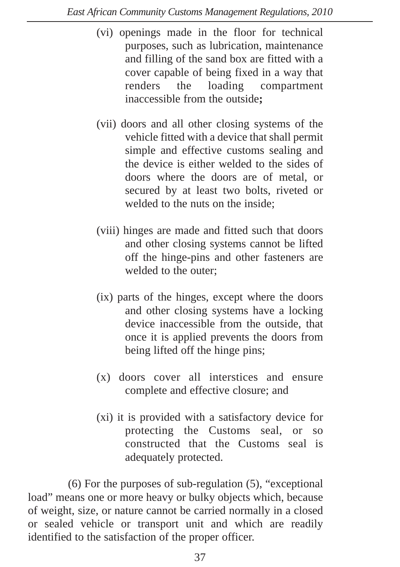- (vi) openings made in the floor for technical purposes, such as lubrication, maintenance and filling of the sand box are fitted with a cover capable of being fixed in a way that renders the loading compartment inaccessible from the outside**;**
- (vii) doors and all other closing systems of the vehicle fitted with a device that shall permit simple and effective customs sealing and the device is either welded to the sides of doors where the doors are of metal, or secured by at least two bolts, riveted or welded to the nuts on the inside;
- (viii) hinges are made and fitted such that doors and other closing systems cannot be lifted off the hinge-pins and other fasteners are welded to the outer;
- (ix) parts of the hinges, except where the doors and other closing systems have a locking device inaccessible from the outside, that once it is applied prevents the doors from being lifted off the hinge pins;
- (x) doors cover all interstices and ensure complete and effective closure; and
- (xi) it is provided with a satisfactory device for protecting the Customs seal, or so constructed that the Customs seal is adequately protected.

(6) For the purposes of sub-regulation (5), "exceptional load" means one or more heavy or bulky objects which, because of weight, size, or nature cannot be carried normally in a closed or sealed vehicle or transport unit and which are readily identified to the satisfaction of the proper officer.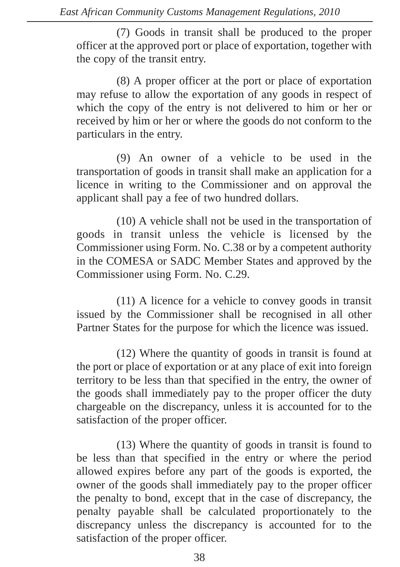(7) Goods in transit shall be produced to the proper officer at the approved port or place of exportation, together with the copy of the transit entry.

(8) A proper officer at the port or place of exportation may refuse to allow the exportation of any goods in respect of which the copy of the entry is not delivered to him or her or received by him or her or where the goods do not conform to the particulars in the entry.

(9) An owner of a vehicle to be used in the transportation of goods in transit shall make an application for a licence in writing to the Commissioner and on approval the applicant shall pay a fee of two hundred dollars.

(10) A vehicle shall not be used in the transportation of goods in transit unless the vehicle is licensed by the Commissioner using Form. No. C.38 or by a competent authority in the COMESA or SADC Member States and approved by the Commissioner using Form. No. C.29.

(11) A licence for a vehicle to convey goods in transit issued by the Commissioner shall be recognised in all other Partner States for the purpose for which the licence was issued.

(12) Where the quantity of goods in transit is found at the port or place of exportation or at any place of exit into foreign territory to be less than that specified in the entry, the owner of the goods shall immediately pay to the proper officer the duty chargeable on the discrepancy, unless it is accounted for to the satisfaction of the proper officer.

(13) Where the quantity of goods in transit is found to be less than that specified in the entry or where the period allowed expires before any part of the goods is exported, the owner of the goods shall immediately pay to the proper officer the penalty to bond, except that in the case of discrepancy, the penalty payable shall be calculated proportionately to the discrepancy unless the discrepancy is accounted for to the satisfaction of the proper officer.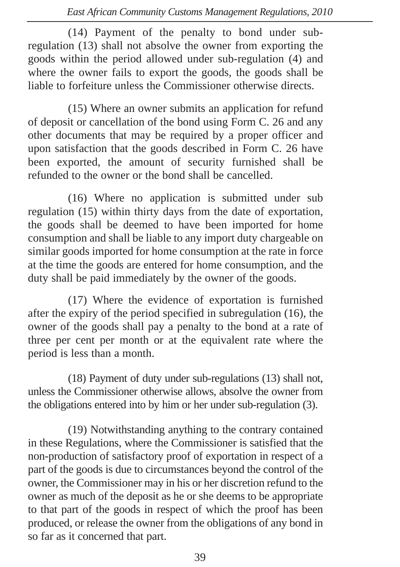(14) Payment of the penalty to bond under subregulation (13) shall not absolve the owner from exporting the goods within the period allowed under sub-regulation (4) and where the owner fails to export the goods, the goods shall be liable to forfeiture unless the Commissioner otherwise directs.

(15) Where an owner submits an application for refund of deposit or cancellation of the bond using Form C. 26 and any other documents that may be required by a proper officer and upon satisfaction that the goods described in Form C. 26 have been exported, the amount of security furnished shall be refunded to the owner or the bond shall be cancelled.

(16) Where no application is submitted under sub regulation (15) within thirty days from the date of exportation, the goods shall be deemed to have been imported for home consumption and shall be liable to any import duty chargeable on similar goods imported for home consumption at the rate in force at the time the goods are entered for home consumption, and the duty shall be paid immediately by the owner of the goods.

(17) Where the evidence of exportation is furnished after the expiry of the period specified in subregulation (16), the owner of the goods shall pay a penalty to the bond at a rate of three per cent per month or at the equivalent rate where the period is less than a month.

(18) Payment of duty under sub-regulations (13) shall not, unless the Commissioner otherwise allows, absolve the owner from the obligations entered into by him or her under sub-regulation (3).

(19) Notwithstanding anything to the contrary contained in these Regulations, where the Commissioner is satisfied that the non-production of satisfactory proof of exportation in respect of a part of the goods is due to circumstances beyond the control of the owner, the Commissioner may in his or her discretion refund to the owner as much of the deposit as he or she deems to be appropriate to that part of the goods in respect of which the proof has been produced, or release the owner from the obligations of any bond in so far as it concerned that part.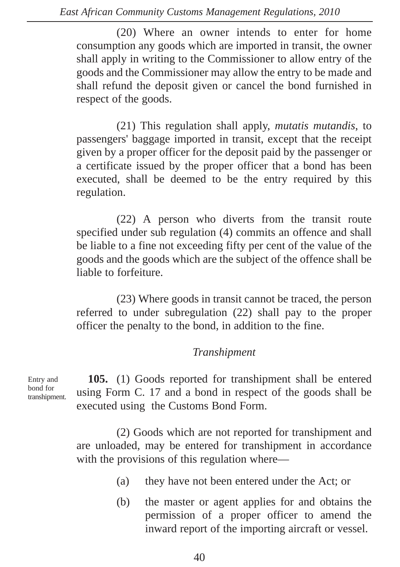(20) Where an owner intends to enter for home consumption any goods which are imported in transit, the owner shall apply in writing to the Commissioner to allow entry of the goods and the Commissioner may allow the entry to be made and shall refund the deposit given or cancel the bond furnished in respect of the goods.

(21) This regulation shall apply, *mutatis mutandis*, to passengers' baggage imported in transit, except that the receipt given by a proper officer for the deposit paid by the passenger or a certificate issued by the proper officer that a bond has been executed, shall be deemed to be the entry required by this regulation.

(22) A person who diverts from the transit route specified under sub regulation (4) commits an offence and shall be liable to a fine not exceeding fifty per cent of the value of the goods and the goods which are the subject of the offence shall be liable to forfeiture.

(23) Where goods in transit cannot be traced, the person referred to under subregulation (22) shall pay to the proper officer the penalty to the bond, in addition to the fine.

#### *Transhipment*

Entry and bond for transhipment.

**105.** (1) Goods reported for transhipment shall be entered using Form C. 17 and a bond in respect of the goods shall be executed using the Customs Bond Form.

(2) Goods which are not reported for transhipment and are unloaded, may be entered for transhipment in accordance with the provisions of this regulation where—

- (a) they have not been entered under the Act; or
- (b) the master or agent applies for and obtains the permission of a proper officer to amend the inward report of the importing aircraft or vessel.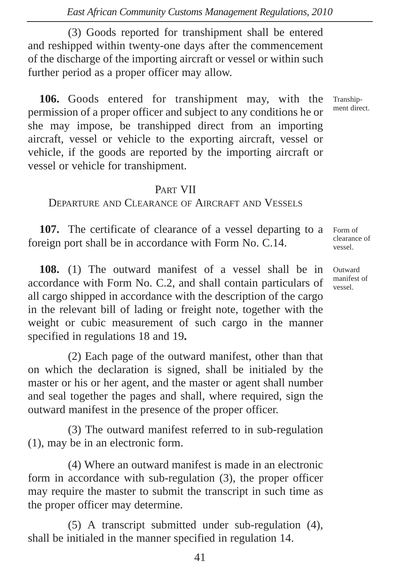(3) Goods reported for transhipment shall be entered and reshipped within twenty-one days after the commencement of the discharge of the importing aircraft or vessel or within such further period as a proper officer may allow.

**106.** Goods entered for transhipment may, with the permission of a proper officer and subject to any conditions he or she may impose, be transhipped direct from an importing aircraft, vessel or vehicle to the exporting aircraft, vessel or vehicle, if the goods are reported by the importing aircraft or vessel or vehicle for transhipment.

#### PART VII

DEPARTURE AND CLEARANCE OF AIRCRAFT AND VESSELS

**107.** The certificate of clearance of a vessel departing to a foreign port shall be in accordance with Form No. C.14.

**108.** (1) The outward manifest of a vessel shall be in accordance with Form No. C.2, and shall contain particulars of all cargo shipped in accordance with the description of the cargo in the relevant bill of lading or freight note, together with the weight or cubic measurement of such cargo in the manner specified in regulations 18 and 19**.**

(2) Each page of the outward manifest, other than that on which the declaration is signed, shall be initialed by the master or his or her agent, and the master or agent shall number and seal together the pages and shall, where required, sign the outward manifest in the presence of the proper officer.

(3) The outward manifest referred to in sub-regulation (1), may be in an electronic form.

(4) Where an outward manifest is made in an electronic form in accordance with sub-regulation (3), the proper officer may require the master to submit the transcript in such time as the proper officer may determine.

(5) A transcript submitted under sub-regulation (4), shall be initialed in the manner specified in regulation 14.

Form of clearance of vessel.

Transhipment direct.

Outward manifest of vessel.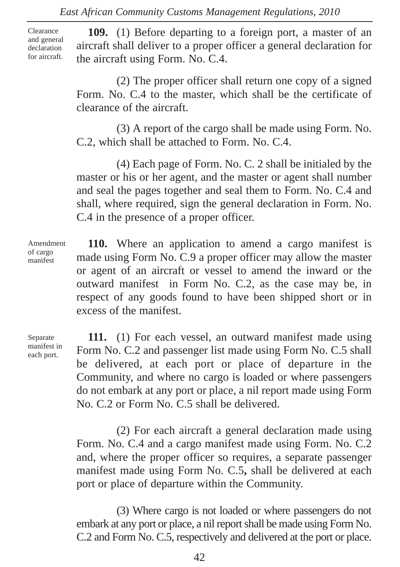Clearance and general declaration for aircraft.

**109.** (1) Before departing to a foreign port, a master of an aircraft shall deliver to a proper officer a general declaration for the aircraft using Form. No. C.4.

(2) The proper officer shall return one copy of a signed Form. No. C.4 to the master, which shall be the certificate of clearance of the aircraft.

(3) A report of the cargo shall be made using Form. No. C.2, which shall be attached to Form. No. C.4.

(4) Each page of Form. No. C. 2 shall be initialed by the master or his or her agent, and the master or agent shall number and seal the pages together and seal them to Form. No. C.4 and shall, where required, sign the general declaration in Form. No. C.4 in the presence of a proper officer.

Amendment of cargo manifest

**110.** Where an application to amend a cargo manifest is made using Form No. C.9 a proper officer may allow the master or agent of an aircraft or vessel to amend the inward or the outward manifest in Form No. C.2, as the case may be, in respect of any goods found to have been shipped short or in excess of the manifest.

Separate manifest in each port.

**111.** (1) For each vessel, an outward manifest made using Form No. C.2 and passenger list made using Form No. C.5 shall be delivered, at each port or place of departure in the Community, and where no cargo is loaded or where passengers do not embark at any port or place, a nil report made using Form No. C.2 or Form No. C.5 shall be delivered.

(2) For each aircraft a general declaration made using Form. No. C.4 and a cargo manifest made using Form. No. C.2 and, where the proper officer so requires, a separate passenger manifest made using Form No. C.5**,** shall be delivered at each port or place of departure within the Community.

(3) Where cargo is not loaded or where passengers do not embark at any port or place, a nil report shall be made using Form No. C.2 and Form No. C.5, respectively and delivered at the port or place.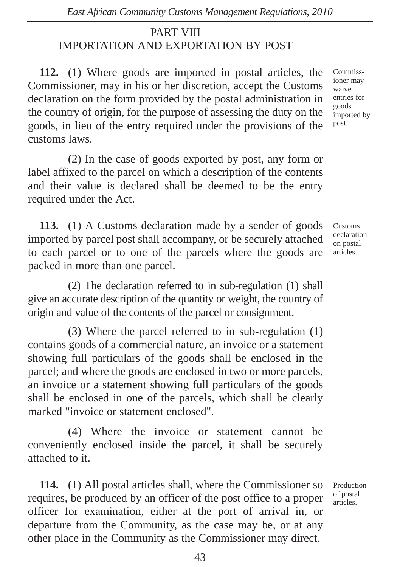# PART VIII IMPORTATION AND EXPORTATION BY POST

**112.** (1) Where goods are imported in postal articles, the Commissioner, may in his or her discretion, accept the Customs declaration on the form provided by the postal administration in the country of origin, for the purpose of assessing the duty on the goods, in lieu of the entry required under the provisions of the customs laws.

(2) In the case of goods exported by post, any form or label affixed to the parcel on which a description of the contents and their value is declared shall be deemed to be the entry required under the Act.

**113.** (1) A Customs declaration made by a sender of goods imported by parcel post shall accompany, or be securely attached to each parcel or to one of the parcels where the goods are packed in more than one parcel.

(2) The declaration referred to in sub-regulation (1) shall give an accurate description of the quantity or weight, the country of origin and value of the contents of the parcel or consignment.

(3) Where the parcel referred to in sub-regulation (1) contains goods of a commercial nature, an invoice or a statement showing full particulars of the goods shall be enclosed in the parcel; and where the goods are enclosed in two or more parcels, an invoice or a statement showing full particulars of the goods shall be enclosed in one of the parcels, which shall be clearly marked "invoice or statement enclosed".

(4) Where the invoice or statement cannot be conveniently enclosed inside the parcel, it shall be securely attached to it.

**114.** (1) All postal articles shall, where the Commissioner so requires, be produced by an officer of the post office to a proper officer for examination, either at the port of arrival in, or departure from the Community, as the case may be, or at any other place in the Community as the Commissioner may direct.

Production of postal articles.

Commissioner may waive entries for goods imported by post.

Customs declaration on postal articles.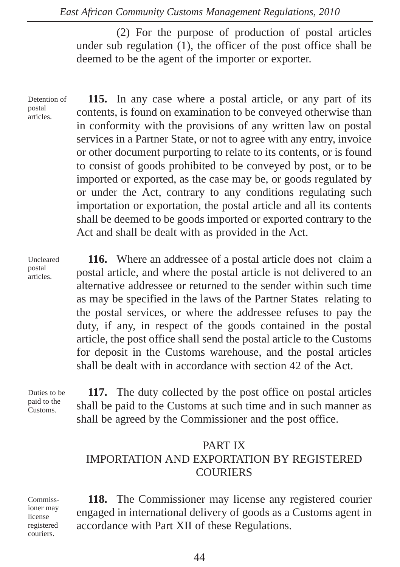(2) For the purpose of production of postal articles under sub regulation (1), the officer of the post office shall be deemed to be the agent of the importer or exporter.

Detention of postal articles.

**115.** In any case where a postal article, or any part of its contents, is found on examination to be conveyed otherwise than in conformity with the provisions of any written law on postal services in a Partner State, or not to agree with any entry, invoice or other document purporting to relate to its contents, or is found to consist of goods prohibited to be conveyed by post, or to be imported or exported, as the case may be, or goods regulated by or under the Act, contrary to any conditions regulating such importation or exportation, the postal article and all its contents shall be deemed to be goods imported or exported contrary to the Act and shall be dealt with as provided in the Act.

Uncleared postal articles.

**116.** Where an addressee of a postal article does not claim a postal article, and where the postal article is not delivered to an alternative addressee or returned to the sender within such time as may be specified in the laws of the Partner States relating to the postal services, or where the addressee refuses to pay the duty, if any, in respect of the goods contained in the postal article, the post office shall send the postal article to the Customs for deposit in the Customs warehouse, and the postal articles shall be dealt with in accordance with section 42 of the Act.

Duties to be paid to the Customs.

**117.** The duty collected by the post office on postal articles shall be paid to the Customs at such time and in such manner as shall be agreed by the Commissioner and the post office.

### PART IX IMPORTATION AND EXPORTATION BY REGISTERED COURIERS

Commissioner may license registered couriers.

**118.** The Commissioner may license any registered courier engaged in international delivery of goods as a Customs agent in accordance with Part XII of these Regulations.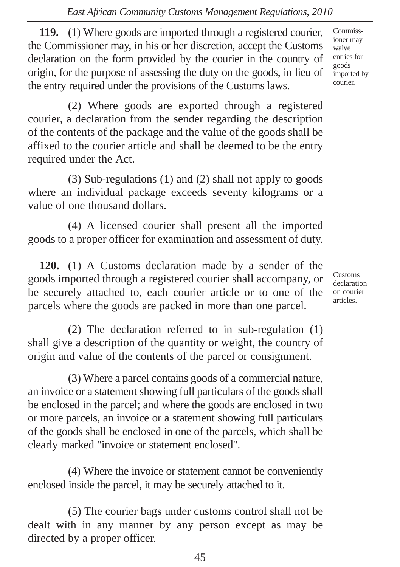**119.** (1) Where goods are imported through a registered courier, the Commissioner may, in his or her discretion, accept the Customs declaration on the form provided by the courier in the country of origin, for the purpose of assessing the duty on the goods, in lieu of the entry required under the provisions of the Customs laws.

(2) Where goods are exported through a registered courier, a declaration from the sender regarding the description of the contents of the package and the value of the goods shall be affixed to the courier article and shall be deemed to be the entry required under the Act.

(3) Sub-regulations (1) and (2) shall not apply to goods where an individual package exceeds seventy kilograms or a value of one thousand dollars.

(4) A licensed courier shall present all the imported goods to a proper officer for examination and assessment of duty.

**120.** (1) A Customs declaration made by a sender of the goods imported through a registered courier shall accompany, or be securely attached to, each courier article or to one of the parcels where the goods are packed in more than one parcel.

(2) The declaration referred to in sub-regulation (1) shall give a description of the quantity or weight, the country of origin and value of the contents of the parcel or consignment.

(3) Where a parcel contains goods of a commercial nature, an invoice or a statement showing full particulars of the goods shall be enclosed in the parcel; and where the goods are enclosed in two or more parcels, an invoice or a statement showing full particulars of the goods shall be enclosed in one of the parcels, which shall be clearly marked "invoice or statement enclosed".

(4) Where the invoice or statement cannot be conveniently enclosed inside the parcel, it may be securely attached to it.

(5) The courier bags under customs control shall not be dealt with in any manner by any person except as may be directed by a proper officer.

Customs declaration on courier articles.

Commissioner may waive entries for goods imported by courier.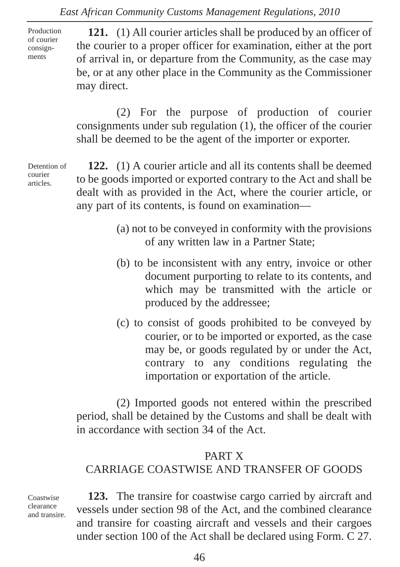Production of courier consignments

**121.** (1) All courier articles shall be produced by an officer of the courier to a proper officer for examination, either at the port of arrival in, or departure from the Community, as the case may be, or at any other place in the Community as the Commissioner may direct.

(2) For the purpose of production of courier consignments under sub regulation (1), the officer of the courier shall be deemed to be the agent of the importer or exporter.

Detention of courier articles.

**122.** (1) A courier article and all its contents shall be deemed to be goods imported or exported contrary to the Act and shall be dealt with as provided in the Act, where the courier article, or any part of its contents, is found on examination—

- (a) not to be conveyed in conformity with the provisions of any written law in a Partner State;
- (b) to be inconsistent with any entry, invoice or other document purporting to relate to its contents, and which may be transmitted with the article or produced by the addressee;
- (c) to consist of goods prohibited to be conveyed by courier, or to be imported or exported, as the case may be, or goods regulated by or under the Act, contrary to any conditions regulating the importation or exportation of the article.

(2) Imported goods not entered within the prescribed period, shall be detained by the Customs and shall be dealt with in accordance with section 34 of the Act.

#### PART X

### CARRIAGE COASTWISE AND TRANSFER OF GOODS

Coastwise clearance and transire.

**123.** The transire for coastwise cargo carried by aircraft and vessels under section 98 of the Act, and the combined clearance and transire for coasting aircraft and vessels and their cargoes under section 100 of the Act shall be declared using Form. C 27.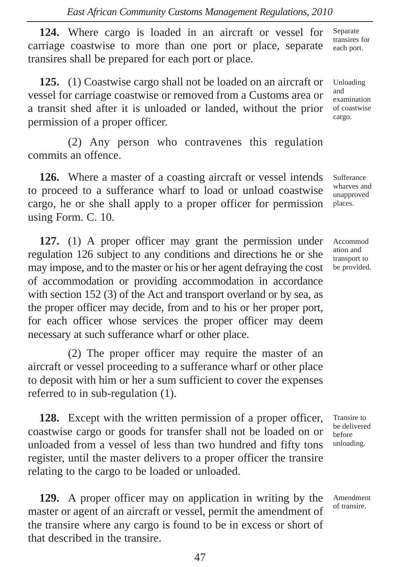**124.** Where cargo is loaded in an aircraft or vessel for carriage coastwise to more than one port or place, separate transires shall be prepared for each port or place.

**125.** (1) Coastwise cargo shall not be loaded on an aircraft or vessel for carriage coastwise or removed from a Customs area or a transit shed after it is unloaded or landed, without the prior permission of a proper officer.

(2) Any person who contravenes this regulation commits an offence.

**126.** Where a master of a coasting aircraft or vessel intends to proceed to a sufferance wharf to load or unload coastwise cargo, he or she shall apply to a proper officer for permission using Form. C. 10.

**127.** (1) A proper officer may grant the permission under regulation 126 subject to any conditions and directions he or she may impose, and to the master or his or her agent defraying the cost of accommodation or providing accommodation in accordance with section 152 (3) of the Act and transport overland or by sea, as the proper officer may decide, from and to his or her proper port, for each officer whose services the proper officer may deem necessary at such sufferance wharf or other place.

(2) The proper officer may require the master of an aircraft or vessel proceeding to a sufferance wharf or other place to deposit with him or her a sum sufficient to cover the expenses referred to in sub-regulation (1).

**128.** Except with the written permission of a proper officer, coastwise cargo or goods for transfer shall not be loaded on or unloaded from a vessel of less than two hundred and fifty tons register, until the master delivers to a proper officer the transire relating to the cargo to be loaded or unloaded.

**129.** A proper officer may on application in writing by the master or agent of an aircraft or vessel, permit the amendment of the transire where any cargo is found to be in excess or short of that described in the transire.

Separate transires for each port.

Unloading and examination of coastwise cargo.

Sufferance wharves and unapproved places.

Accommod ation and transport to be provided.

Transire to be delivered before unloading.

Amendment of transire.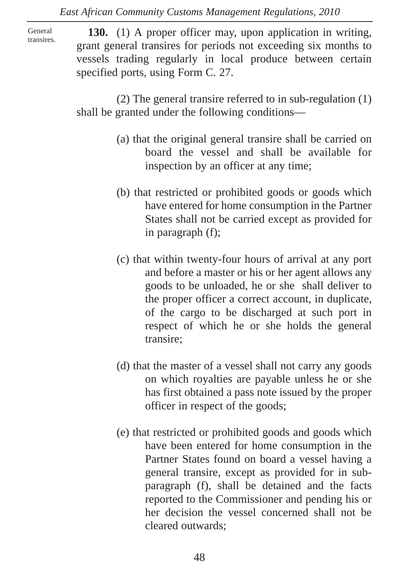General transires.

**130.** (1) A proper officer may, upon application in writing, grant general transires for periods not exceeding six months to vessels trading regularly in local produce between certain specified ports, using Form C. 27.

(2) The general transire referred to in sub-regulation (1) shall be granted under the following conditions—

- (a) that the original general transire shall be carried on board the vessel and shall be available for inspection by an officer at any time;
- (b) that restricted or prohibited goods or goods which have entered for home consumption in the Partner States shall not be carried except as provided for in paragraph (f);
- (c) that within twenty-four hours of arrival at any port and before a master or his or her agent allows any goods to be unloaded, he or she shall deliver to the proper officer a correct account, in duplicate, of the cargo to be discharged at such port in respect of which he or she holds the general transire;
- (d) that the master of a vessel shall not carry any goods on which royalties are payable unless he or she has first obtained a pass note issued by the proper officer in respect of the goods;
- (e) that restricted or prohibited goods and goods which have been entered for home consumption in the Partner States found on board a vessel having a general transire, except as provided for in subparagraph (f), shall be detained and the facts reported to the Commissioner and pending his or her decision the vessel concerned shall not be cleared outwards;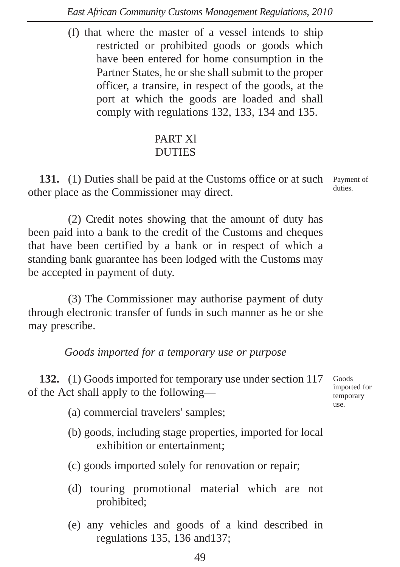(f) that where the master of a vessel intends to ship restricted or prohibited goods or goods which have been entered for home consumption in the Partner States, he or she shall submit to the proper officer, a transire, in respect of the goods, at the port at which the goods are loaded and shall comply with regulations 132, 133, 134 and 135.

### PART Xl **DUTIES**

131. (1) Duties shall be paid at the Customs office or at such Payment of other place as the Commissioner may direct. duties.

(2) Credit notes showing that the amount of duty has been paid into a bank to the credit of the Customs and cheques that have been certified by a bank or in respect of which a standing bank guarantee has been lodged with the Customs may be accepted in payment of duty.

(3) The Commissioner may authorise payment of duty through electronic transfer of funds in such manner as he or she may prescribe.

*Goods imported for a temporary use or purpose*

**132.** (1) Goods imported for temporary use under section 117 of the Act shall apply to the following—

- (a) commercial travelers' samples;
- (b) goods, including stage properties, imported for local exhibition or entertainment;
- (c) goods imported solely for renovation or repair;
- (d) touring promotional material which are not prohibited;
- (e) any vehicles and goods of a kind described in regulations 135, 136 and137;

Goods imported for temporary use.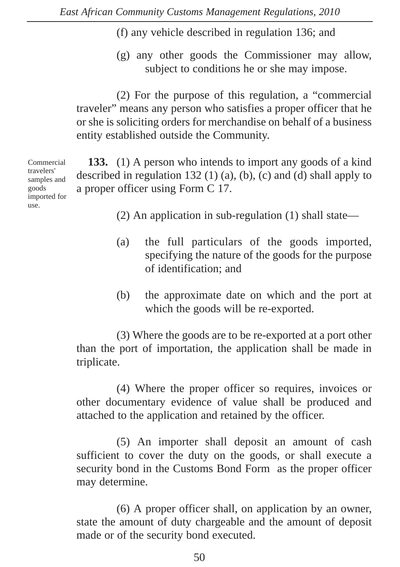- (f) any vehicle described in regulation 136; and
- (g) any other goods the Commissioner may allow, subject to conditions he or she may impose.

(2) For the purpose of this regulation, a "commercial traveler" means any person who satisfies a proper officer that he or she is soliciting orders for merchandise on behalf of a business entity established outside the Community.

Commercial travelers' samples and goods imported for use.

**133.** (1) A person who intends to import any goods of a kind described in regulation 132 (1) (a), (b), (c) and (d) shall apply to a proper officer using Form C 17.

- (2) An application in sub-regulation (1) shall state—
- (a) the full particulars of the goods imported, specifying the nature of the goods for the purpose of identification; and
- (b) the approximate date on which and the port at which the goods will be re-exported.

(3) Where the goods are to be re-exported at a port other than the port of importation, the application shall be made in triplicate.

(4) Where the proper officer so requires, invoices or other documentary evidence of value shall be produced and attached to the application and retained by the officer.

(5) An importer shall deposit an amount of cash sufficient to cover the duty on the goods, or shall execute a security bond in the Customs Bond Form as the proper officer may determine.

(6) A proper officer shall, on application by an owner, state the amount of duty chargeable and the amount of deposit made or of the security bond executed.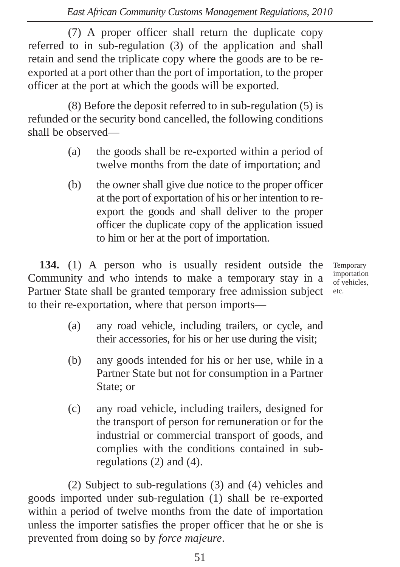(7) A proper officer shall return the duplicate copy referred to in sub-regulation (3) of the application and shall retain and send the triplicate copy where the goods are to be reexported at a port other than the port of importation, to the proper officer at the port at which the goods will be exported.

(8) Before the deposit referred to in sub-regulation (5) is refunded or the security bond cancelled, the following conditions shall be observed—

- (a) the goods shall be re-exported within a period of twelve months from the date of importation; and
- (b) the owner shall give due notice to the proper officer at the port of exportation of his or her intention to reexport the goods and shall deliver to the proper officer the duplicate copy of the application issued to him or her at the port of importation.

**134.** (1) A person who is usually resident outside the Community and who intends to make a temporary stay in a Partner State shall be granted temporary free admission subject to their re-exportation, where that person imports—

Temporary importation of vehicles, etc.

- (a) any road vehicle, including trailers, or cycle, and their accessories, for his or her use during the visit;
- (b) any goods intended for his or her use, while in a Partner State but not for consumption in a Partner State; or
- (c) any road vehicle, including trailers, designed for the transport of person for remuneration or for the industrial or commercial transport of goods, and complies with the conditions contained in subregulations (2) and (4).

(2) Subject to sub-regulations (3) and (4) vehicles and goods imported under sub-regulation (1) shall be re-exported within a period of twelve months from the date of importation unless the importer satisfies the proper officer that he or she is prevented from doing so by *force majeure*.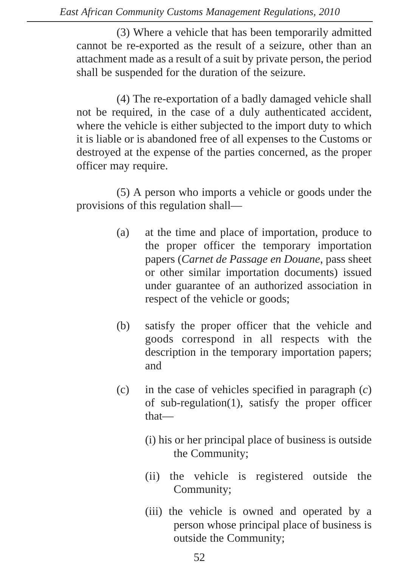(3) Where a vehicle that has been temporarily admitted cannot be re-exported as the result of a seizure, other than an attachment made as a result of a suit by private person, the period shall be suspended for the duration of the seizure.

(4) The re-exportation of a badly damaged vehicle shall not be required, in the case of a duly authenticated accident, where the vehicle is either subjected to the import duty to which it is liable or is abandoned free of all expenses to the Customs or destroyed at the expense of the parties concerned, as the proper officer may require.

(5) A person who imports a vehicle or goods under the provisions of this regulation shall—

- (a) at the time and place of importation, produce to the proper officer the temporary importation papers (*Carnet de Passage en Douane*, pass sheet or other similar importation documents) issued under guarantee of an authorized association in respect of the vehicle or goods;
- (b) satisfy the proper officer that the vehicle and goods correspond in all respects with the description in the temporary importation papers; and
- (c) in the case of vehicles specified in paragraph (*c*) of sub-regulation(1), satisfy the proper officer that—
	- (i) his or her principal place of business is outside the Community;
	- (ii) the vehicle is registered outside the Community;
	- (iii) the vehicle is owned and operated by a person whose principal place of business is outside the Community;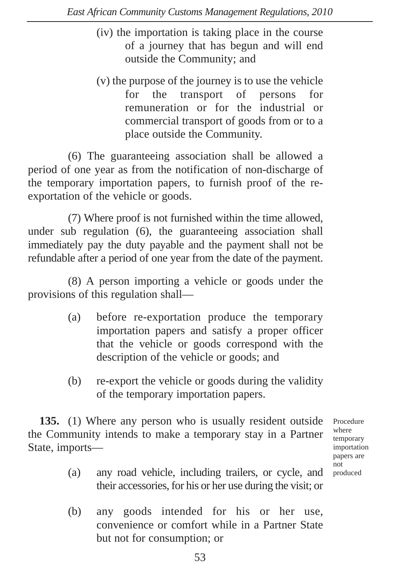- (iv) the importation is taking place in the course of a journey that has begun and will end outside the Community; and
- (v) the purpose of the journey is to use the vehicle for the transport of persons for remuneration or for the industrial or commercial transport of goods from or to a place outside the Community.

(6) The guaranteeing association shall be allowed a period of one year as from the notification of non-discharge of the temporary importation papers, to furnish proof of the reexportation of the vehicle or goods.

(7) Where proof is not furnished within the time allowed, under sub regulation (6), the guaranteeing association shall immediately pay the duty payable and the payment shall not be refundable after a period of one year from the date of the payment.

(8) A person importing a vehicle or goods under the provisions of this regulation shall—

- (a) before re-exportation produce the temporary importation papers and satisfy a proper officer that the vehicle or goods correspond with the description of the vehicle or goods; and
- (b) re-export the vehicle or goods during the validity of the temporary importation papers.

**135.** (1) Where any person who is usually resident outside the Community intends to make a temporary stay in a Partner State, imports—

Procedure where temporary importation papers are not produced

- (a) any road vehicle, including trailers, or cycle, and their accessories, for his or her use during the visit; or
- (b) any goods intended for his or her use, convenience or comfort while in a Partner State but not for consumption; or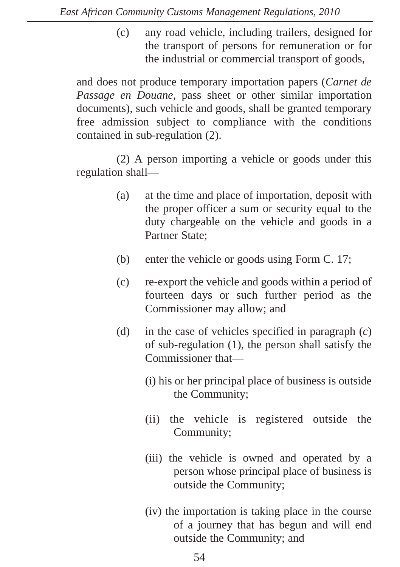(c) any road vehicle, including trailers, designed for the transport of persons for remuneration or for the industrial or commercial transport of goods,

and does not produce temporary importation papers (*Carnet de Passage en Douane,* pass sheet or other similar importation documents), such vehicle and goods, shall be granted temporary free admission subject to compliance with the conditions contained in sub-regulation (2).

(2) A person importing a vehicle or goods under this regulation shall—

- (a) at the time and place of importation, deposit with the proper officer a sum or security equal to the duty chargeable on the vehicle and goods in a Partner State;
- (b) enter the vehicle or goods using Form C. 17;
- (c) re-export the vehicle and goods within a period of fourteen days or such further period as the Commissioner may allow; and
- (d) in the case of vehicles specified in paragraph (*c*) of sub-regulation (1), the person shall satisfy the Commissioner that—
	- (i) his or her principal place of business is outside the Community;
	- (ii) the vehicle is registered outside the Community;
	- (iii) the vehicle is owned and operated by a person whose principal place of business is outside the Community;
	- (iv) the importation is taking place in the course of a journey that has begun and will end outside the Community; and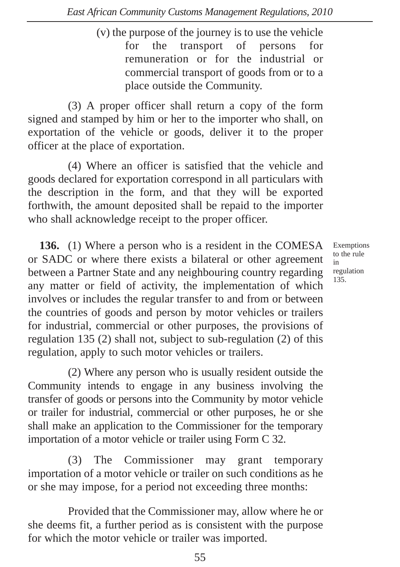(v) the purpose of the journey is to use the vehicle for the transport of persons for remuneration or for the industrial or commercial transport of goods from or to a place outside the Community.

(3) A proper officer shall return a copy of the form signed and stamped by him or her to the importer who shall, on exportation of the vehicle or goods, deliver it to the proper officer at the place of exportation.

(4) Where an officer is satisfied that the vehicle and goods declared for exportation correspond in all particulars with the description in the form, and that they will be exported forthwith, the amount deposited shall be repaid to the importer who shall acknowledge receipt to the proper officer.

**136.** (1) Where a person who is a resident in the COMESA or SADC or where there exists a bilateral or other agreement between a Partner State and any neighbouring country regarding any matter or field of activity, the implementation of which involves or includes the regular transfer to and from or between the countries of goods and person by motor vehicles or trailers for industrial, commercial or other purposes, the provisions of regulation 135 (2) shall not, subject to sub-regulation (2) of this regulation, apply to such motor vehicles or trailers.

(2) Where any person who is usually resident outside the Community intends to engage in any business involving the transfer of goods or persons into the Community by motor vehicle or trailer for industrial, commercial or other purposes, he or she shall make an application to the Commissioner for the temporary importation of a motor vehicle or trailer using Form C 32.

(3) The Commissioner may grant temporary importation of a motor vehicle or trailer on such conditions as he or she may impose, for a period not exceeding three months:

Provided that the Commissioner may, allow where he or she deems fit, a further period as is consistent with the purpose for which the motor vehicle or trailer was imported.

Exemptions to the rule in regulation 135.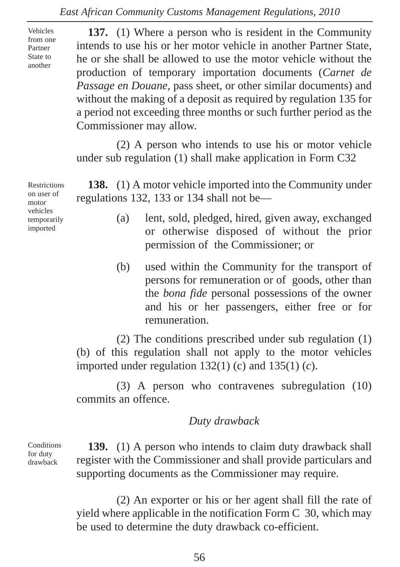Vehicles from one Partner State to another

**137.** (1) Where a person who is resident in the Community intends to use his or her motor vehicle in another Partner State, he or she shall be allowed to use the motor vehicle without the production of temporary importation documents (*Carnet de Passage en Douane,* pass sheet, or other similar documents) and without the making of a deposit as required by regulation 135 for a period not exceeding three months or such further period as the Commissioner may allow.

(2) A person who intends to use his or motor vehicle under sub regulation (1) shall make application in Form C32

Restrictions on user of motor vehicles temporarily imported

**138.** (1) A motor vehicle imported into the Community under regulations 132, 133 or 134 shall not be—

- (a) lent, sold, pledged, hired, given away, exchanged or otherwise disposed of without the prior permission of the Commissioner; or
- (b) used within the Community for the transport of persons for remuneration or of goods, other than the *bona fide* personal possessions of the owner and his or her passengers, either free or for remuneration.

(2) The conditions prescribed under sub regulation (1) (b) of this regulation shall not apply to the motor vehicles imported under regulation 132(1) (c) and 135(1) (*c*).

(3) A person who contravenes subregulation (10) commits an offence.

#### *Duty drawback*

**Conditions** for duty drawback

**139.** (1) A person who intends to claim duty drawback shall register with the Commissioner and shall provide particulars and supporting documents as the Commissioner may require.

(2) An exporter or his or her agent shall fill the rate of yield where applicable in the notification Form C 30, which may be used to determine the duty drawback co-efficient.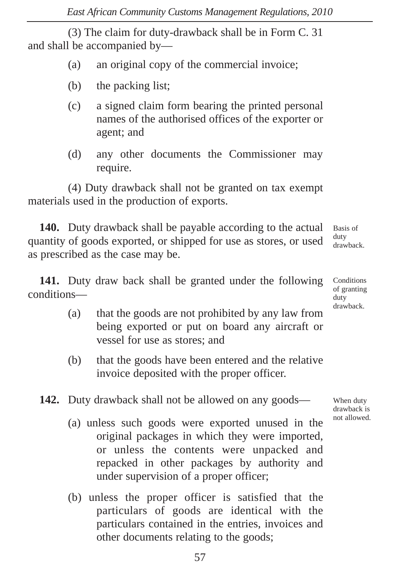(3) The claim for duty-drawback shall be in Form C. 31 and shall be accompanied by—

- (a) an original copy of the commercial invoice;
- (b) the packing list;
- (c) a signed claim form bearing the printed personal names of the authorised offices of the exporter or agent; and
- (d) any other documents the Commissioner may require.

(4) Duty drawback shall not be granted on tax exempt materials used in the production of exports.

**140.** Duty drawback shall be payable according to the actual quantity of goods exported, or shipped for use as stores, or used as prescribed as the case may be. Basis of duty drawback.

**141.** Duty draw back shall be granted under the following conditions—

- (a) that the goods are not prohibited by any law from being exported or put on board any aircraft or vessel for use as stores; and
- (b) that the goods have been entered and the relative invoice deposited with the proper officer.

**142.** Duty drawback shall not be allowed on any goods—

- (a) unless such goods were exported unused in the original packages in which they were imported, or unless the contents were unpacked and repacked in other packages by authority and under supervision of a proper officer;
- (b) unless the proper officer is satisfied that the particulars of goods are identical with the particulars contained in the entries, invoices and other documents relating to the goods;

**Conditions** of granting duty drawback.

When duty drawback is not allowed.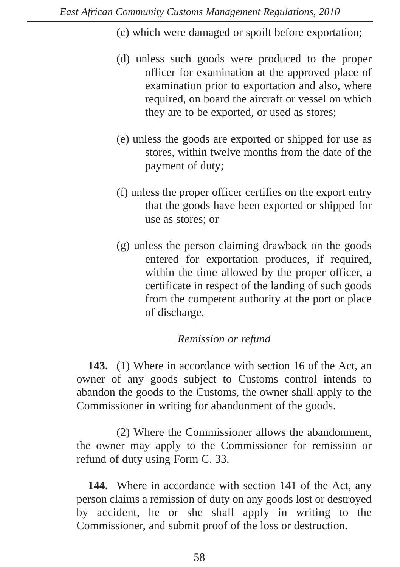- (c) which were damaged or spoilt before exportation;
- (d) unless such goods were produced to the proper officer for examination at the approved place of examination prior to exportation and also, where required, on board the aircraft or vessel on which they are to be exported, or used as stores;
- (e) unless the goods are exported or shipped for use as stores, within twelve months from the date of the payment of duty;
- (f) unless the proper officer certifies on the export entry that the goods have been exported or shipped for use as stores; or
- (g) unless the person claiming drawback on the goods entered for exportation produces, if required, within the time allowed by the proper officer, a certificate in respect of the landing of such goods from the competent authority at the port or place of discharge.

#### *Remission or refund*

**143.** (1) Where in accordance with section 16 of the Act, an owner of any goods subject to Customs control intends to abandon the goods to the Customs, the owner shall apply to the Commissioner in writing for abandonment of the goods.

(2) Where the Commissioner allows the abandonment, the owner may apply to the Commissioner for remission or refund of duty using Form C. 33.

144. Where in accordance with section 141 of the Act, any person claims a remission of duty on any goods lost or destroyed by accident, he or she shall apply in writing to the Commissioner, and submit proof of the loss or destruction.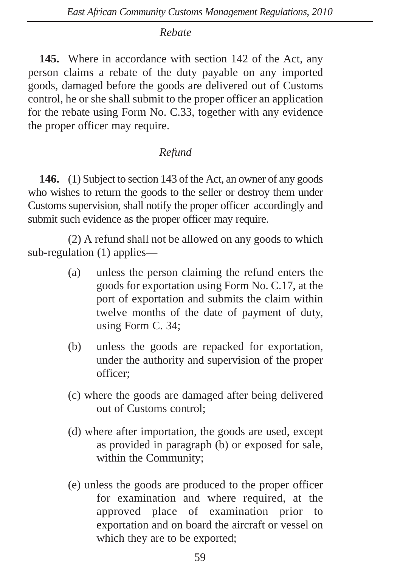### *Rebate*

**145.** Where in accordance with section 142 of the Act, any person claims a rebate of the duty payable on any imported goods, damaged before the goods are delivered out of Customs control, he or she shall submit to the proper officer an application for the rebate using Form No. C.33, together with any evidence the proper officer may require.

# *Refund*

**146.** (1) Subject to section 143 of the Act, an owner of any goods who wishes to return the goods to the seller or destroy them under Customs supervision, shall notify the proper officer accordingly and submit such evidence as the proper officer may require.

(2) A refund shall not be allowed on any goods to which sub-regulation (1) applies—

- (a) unless the person claiming the refund enters the goods for exportation using Form No. C.17, at the port of exportation and submits the claim within twelve months of the date of payment of duty, using Form C. 34;
- (b) unless the goods are repacked for exportation, under the authority and supervision of the proper officer;
- (c) where the goods are damaged after being delivered out of Customs control;
- (d) where after importation, the goods are used, except as provided in paragraph (b) or exposed for sale, within the Community;
- (e) unless the goods are produced to the proper officer for examination and where required, at the approved place of examination prior to exportation and on board the aircraft or vessel on which they are to be exported;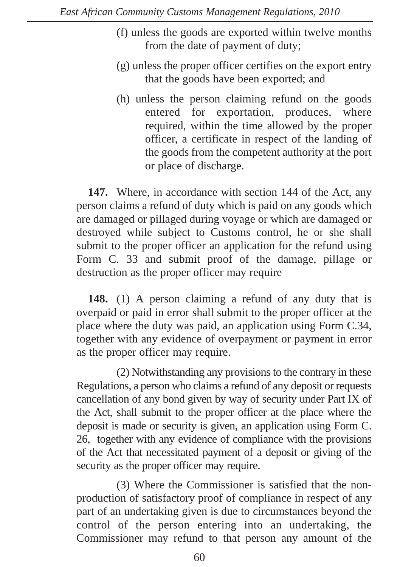- (f) unless the goods are exported within twelve months from the date of payment of duty;
- (g) unless the proper officer certifies on the export entry that the goods have been exported; and
- (h) unless the person claiming refund on the goods entered for exportation, produces, where required, within the time allowed by the proper officer, a certificate in respect of the landing of the goods from the competent authority at the port or place of discharge.

**147.** Where, in accordance with section 144 of the Act, any person claims a refund of duty which is paid on any goods which are damaged or pillaged during voyage or which are damaged or destroyed while subject to Customs control, he or she shall submit to the proper officer an application for the refund using Form C. 33 and submit proof of the damage, pillage or destruction as the proper officer may require

**148.** (1) A person claiming a refund of any duty that is overpaid or paid in error shall submit to the proper officer at the place where the duty was paid, an application using Form C.34, together with any evidence of overpayment or payment in error as the proper officer may require.

(2) Notwithstanding any provisions to the contrary in these Regulations, a person who claims a refund of any deposit or requests cancellation of any bond given by way of security under Part IX of the Act, shall submit to the proper officer at the place where the deposit is made or security is given, an application using Form C. 26, together with any evidence of compliance with the provisions of the Act that necessitated payment of a deposit or giving of the security as the proper officer may require.

(3) Where the Commissioner is satisfied that the nonproduction of satisfactory proof of compliance in respect of any part of an undertaking given is due to circumstances beyond the control of the person entering into an undertaking, the Commissioner may refund to that person any amount of the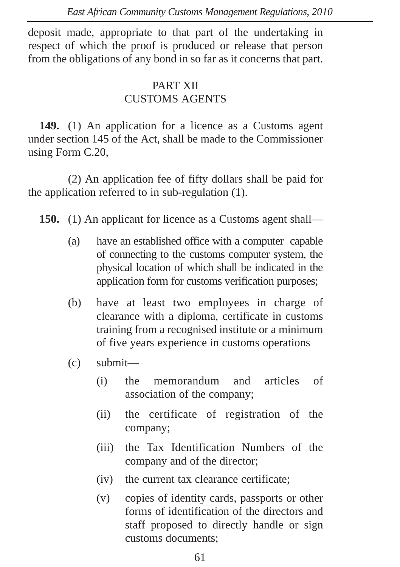deposit made, appropriate to that part of the undertaking in respect of which the proof is produced or release that person from the obligations of any bond in so far as it concerns that part.

# PART XII CUSTOMS AGENTS

**149.** (1) An application for a licence as a Customs agent under section 145 of the Act, shall be made to the Commissioner using Form C.20,

(2) An application fee of fifty dollars shall be paid for the application referred to in sub-regulation (1).

**150.** (1) An applicant for licence as a Customs agent shall—

- (a) have an established office with a computer capable of connecting to the customs computer system, the physical location of which shall be indicated in the application form for customs verification purposes;
- (b) have at least two employees in charge of clearance with a diploma, certificate in customs training from a recognised institute or a minimum of five years experience in customs operations
- (c) submit—
	- (i) the memorandum and articles of association of the company;
	- (ii) the certificate of registration of the company;
	- (iii) the Tax Identification Numbers of the company and of the director;
	- (iv) the current tax clearance certificate;
	- (v) copies of identity cards, passports or other forms of identification of the directors and staff proposed to directly handle or sign customs documents;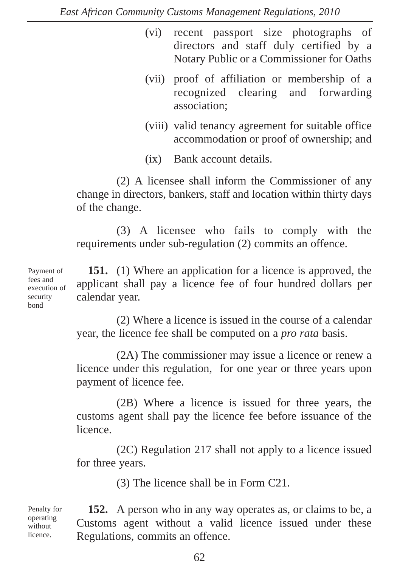- (vi) recent passport size photographs of directors and staff duly certified by a Notary Public or a Commissioner for Oaths
- (vii) proof of affiliation or membership of a recognized clearing and forwarding association;
- (viii) valid tenancy agreement for suitable office accommodation or proof of ownership; and
- (ix) Bank account details.

(2) A licensee shall inform the Commissioner of any change in directors, bankers, staff and location within thirty days of the change.

(3) A licensee who fails to comply with the requirements under sub-regulation (2) commits an offence.

**151.** (1) Where an application for a licence is approved, the applicant shall pay a licence fee of four hundred dollars per calendar year.

(2) Where a licence is issued in the course of a calendar year, the licence fee shall be computed on a *pro rata* basis.

(2A) The commissioner may issue a licence or renew a licence under this regulation, for one year or three years upon payment of licence fee.

(2B) Where a licence is issued for three years, the customs agent shall pay the licence fee before issuance of the licence.

(2C) Regulation 217 shall not apply to a licence issued for three years.

(3) The licence shall be in Form C21.

Penalty for operating without licence.

**152.** A person who in any way operates as, or claims to be, a Customs agent without a valid licence issued under these Regulations, commits an offence.

62

Payment of fees and execution of security bond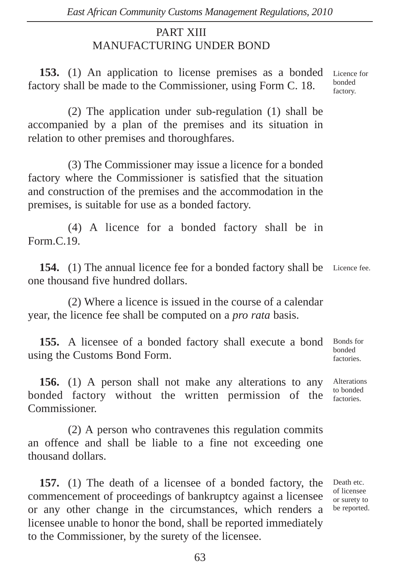# PART XIII MANUFACTURING UNDER BOND

**153.** (1) An application to license premises as a bonded factory shall be made to the Commissioner, using Form C. 18. Licence for bonded factory.

(2) The application under sub-regulation (1) shall be accompanied by a plan of the premises and its situation in relation to other premises and thoroughfares.

(3) The Commissioner may issue a licence for a bonded factory where the Commissioner is satisfied that the situation and construction of the premises and the accommodation in the premises, is suitable for use as a bonded factory.

(4) A licence for a bonded factory shall be in Form.C.19.

154. (1) The annual licence fee for a bonded factory shall be Licence fee. one thousand five hundred dollars.

(2) Where a licence is issued in the course of a calendar year, the licence fee shall be computed on a *pro rata* basis.

**155.** A licensee of a bonded factory shall execute a bond using the Customs Bond Form. Bonds for bonded factories.

**156.** (1) A person shall not make any alterations to any bonded factory without the written permission of the Commissioner. factories.

(2) A person who contravenes this regulation commits an offence and shall be liable to a fine not exceeding one thousand dollars.

**157.** (1) The death of a licensee of a bonded factory, the commencement of proceedings of bankruptcy against a licensee or any other change in the circumstances, which renders a licensee unable to honor the bond, shall be reported immediately to the Commissioner, by the surety of the licensee.

Death etc. of licensee or surety to be reported.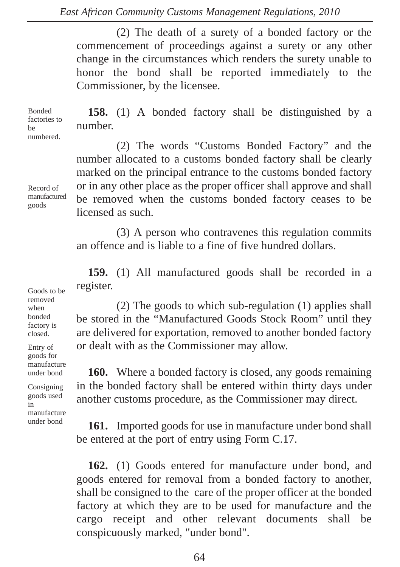(2) The death of a surety of a bonded factory or the commencement of proceedings against a surety or any other change in the circumstances which renders the surety unable to honor the bond shall be reported immediately to the Commissioner, by the licensee.

**158.** (1) A bonded factory shall be distinguished by a number. Bonded factories to be numbered.

> (2) The words "Customs Bonded Factory" and the number allocated to a customs bonded factory shall be clearly marked on the principal entrance to the customs bonded factory or in any other place as the proper officer shall approve and shall be removed when the customs bonded factory ceases to be licensed as such.

> (3) A person who contravenes this regulation commits an offence and is liable to a fine of five hundred dollars.

> **159.** (1) All manufactured goods shall be recorded in a register.

> (2) The goods to which sub-regulation (1) applies shall be stored in the "Manufactured Goods Stock Room" until they are delivered for exportation, removed to another bonded factory or dealt with as the Commissioner may allow.

> **160.** Where a bonded factory is closed, any goods remaining in the bonded factory shall be entered within thirty days under another customs procedure, as the Commissioner may direct.

> **161.** Imported goods for use in manufacture under bond shall be entered at the port of entry using Form C.17.

> **162.** (1) Goods entered for manufacture under bond, and goods entered for removal from a bonded factory to another, shall be consigned to the care of the proper officer at the bonded factory at which they are to be used for manufacture and the cargo receipt and other relevant documents shall be conspicuously marked, "under bond".

Record of manufactured goods

Goods to be removed when bonded factory is closed.

Entry of goods for manufacture under bond

Consigning goods used in manufacture under bond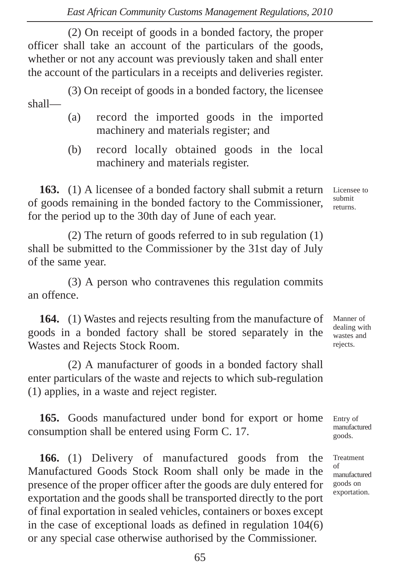(2) On receipt of goods in a bonded factory, the proper officer shall take an account of the particulars of the goods, whether or not any account was previously taken and shall enter the account of the particulars in a receipts and deliveries register.

(3) On receipt of goods in a bonded factory, the licensee shall—

- (a) record the imported goods in the imported machinery and materials register; and
- (b) record locally obtained goods in the local machinery and materials register.

**163.** (1) A licensee of a bonded factory shall submit a return of goods remaining in the bonded factory to the Commissioner, for the period up to the 30th day of June of each year.

(2) The return of goods referred to in sub regulation (1) shall be submitted to the Commissioner by the 31st day of July of the same year.

(3) A person who contravenes this regulation commits an offence.

**164.** (1) Wastes and rejects resulting from the manufacture of goods in a bonded factory shall be stored separately in the Wastes and Rejects Stock Room.

(2) A manufacturer of goods in a bonded factory shall enter particulars of the waste and rejects to which sub-regulation (1) applies, in a waste and reject register.

**165.** Goods manufactured under bond for export or home consumption shall be entered using Form C. 17.

**166.** (1) Delivery of manufactured goods from the Manufactured Goods Stock Room shall only be made in the presence of the proper officer after the goods are duly entered for exportation and the goods shall be transported directly to the port of final exportation in sealed vehicles, containers or boxes except in the case of exceptional loads as defined in regulation 104(6) or any special case otherwise authorised by the Commissioner.

Licensee to submit returns.

Manner of dealing with wastes and rejects.

Entry of manufactured goods.

Treatment of manufactured goods on exportation.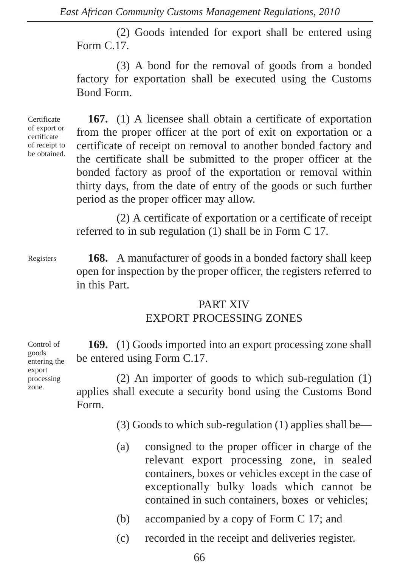(2) Goods intended for export shall be entered using Form C.17.

(3) A bond for the removal of goods from a bonded factory for exportation shall be executed using the Customs Bond Form.

Certificate of export or certificate of receipt to be obtained.

**167.** (1) A licensee shall obtain a certificate of exportation from the proper officer at the port of exit on exportation or a certificate of receipt on removal to another bonded factory and the certificate shall be submitted to the proper officer at the bonded factory as proof of the exportation or removal within thirty days, from the date of entry of the goods or such further period as the proper officer may allow.

(2) A certificate of exportation or a certificate of receipt referred to in sub regulation (1) shall be in Form C 17.

Registers

**168.** A manufacturer of goods in a bonded factory shall keep open for inspection by the proper officer, the registers referred to in this Part.

#### PART XIV EXPORT PROCESSING ZONES

Control of goods entering the export processing zone.

**169.** (1) Goods imported into an export processing zone shall be entered using Form C.17.

(2) An importer of goods to which sub-regulation (1) applies shall execute a security bond using the Customs Bond Form.

(3) Goods to which sub-regulation (1) applies shall be—

- (a) consigned to the proper officer in charge of the relevant export processing zone, in sealed containers, boxes or vehicles except in the case of exceptionally bulky loads which cannot be contained in such containers, boxes or vehicles;
- (b) accompanied by a copy of Form C 17; and
- (c) recorded in the receipt and deliveries register.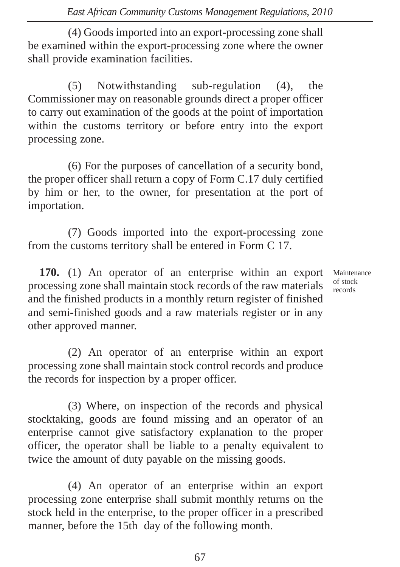(4) Goods imported into an export-processing zone shall be examined within the export-processing zone where the owner shall provide examination facilities.

(5) Notwithstanding sub-regulation (4), the Commissioner may on reasonable grounds direct a proper officer to carry out examination of the goods at the point of importation within the customs territory or before entry into the export processing zone.

(6) For the purposes of cancellation of a security bond, the proper officer shall return a copy of Form C.17 duly certified by him or her, to the owner, for presentation at the port of importation.

(7) Goods imported into the export-processing zone from the customs territory shall be entered in Form C 17.

**170.** (1) An operator of an enterprise within an export processing zone shall maintain stock records of the raw materials and the finished products in a monthly return register of finished and semi-finished goods and a raw materials register or in any other approved manner.

Maintenance of stock records

(2) An operator of an enterprise within an export processing zone shall maintain stock control records and produce the records for inspection by a proper officer.

(3) Where, on inspection of the records and physical stocktaking, goods are found missing and an operator of an enterprise cannot give satisfactory explanation to the proper officer, the operator shall be liable to a penalty equivalent to twice the amount of duty payable on the missing goods.

(4) An operator of an enterprise within an export processing zone enterprise shall submit monthly returns on the stock held in the enterprise, to the proper officer in a prescribed manner, before the 15th day of the following month.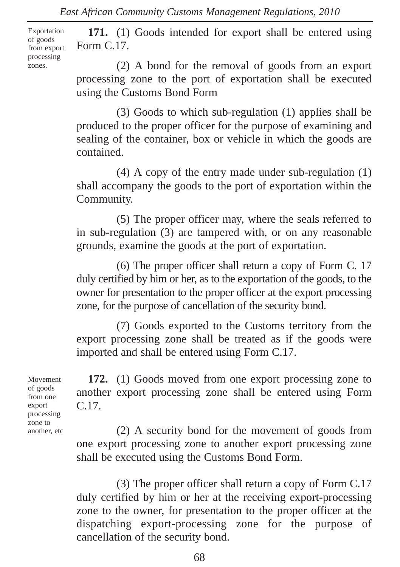Exportation of goods from export processing zones.

**171.** (1) Goods intended for export shall be entered using Form C.17.

(2) A bond for the removal of goods from an export processing zone to the port of exportation shall be executed using the Customs Bond Form

(3) Goods to which sub-regulation (1) applies shall be produced to the proper officer for the purpose of examining and sealing of the container, box or vehicle in which the goods are contained.

(4) A copy of the entry made under sub-regulation (1) shall accompany the goods to the port of exportation within the Community.

(5) The proper officer may, where the seals referred to in sub-regulation (3) are tampered with, or on any reasonable grounds, examine the goods at the port of exportation.

(6) The proper officer shall return a copy of Form C. 17 duly certified by him or her, as to the exportation of the goods, to the owner for presentation to the proper officer at the export processing zone, for the purpose of cancellation of the security bond.

(7) Goods exported to the Customs territory from the export processing zone shall be treated as if the goods were imported and shall be entered using Form C.17.

Movement of goods from one export processing zone to another, etc

**172.** (1) Goods moved from one export processing zone to another export processing zone shall be entered using Form C.17.

(2) A security bond for the movement of goods from one export processing zone to another export processing zone shall be executed using the Customs Bond Form.

(3) The proper officer shall return a copy of Form C.17 duly certified by him or her at the receiving export-processing zone to the owner, for presentation to the proper officer at the dispatching export-processing zone for the purpose of cancellation of the security bond.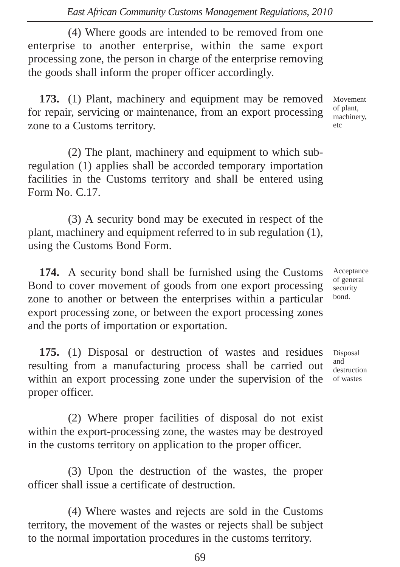(4) Where goods are intended to be removed from one enterprise to another enterprise, within the same export processing zone, the person in charge of the enterprise removing the goods shall inform the proper officer accordingly.

**173.** (1) Plant, machinery and equipment may be removed for repair, servicing or maintenance, from an export processing zone to a Customs territory.

(2) The plant, machinery and equipment to which subregulation (1) applies shall be accorded temporary importation facilities in the Customs territory and shall be entered using Form No. C.17.

(3) A security bond may be executed in respect of the plant, machinery and equipment referred to in sub regulation (1), using the Customs Bond Form.

**174.** A security bond shall be furnished using the Customs Bond to cover movement of goods from one export processing zone to another or between the enterprises within a particular export processing zone, or between the export processing zones and the ports of importation or exportation.

**175.** (1) Disposal or destruction of wastes and residues resulting from a manufacturing process shall be carried out within an export processing zone under the supervision of the proper officer.

(2) Where proper facilities of disposal do not exist within the export-processing zone, the wastes may be destroyed in the customs territory on application to the proper officer.

(3) Upon the destruction of the wastes, the proper officer shall issue a certificate of destruction.

(4) Where wastes and rejects are sold in the Customs territory, the movement of the wastes or rejects shall be subject to the normal importation procedures in the customs territory.

Movement of plant, machinery, etc

Acceptance of general security bond.

Disposal and destruction of wastes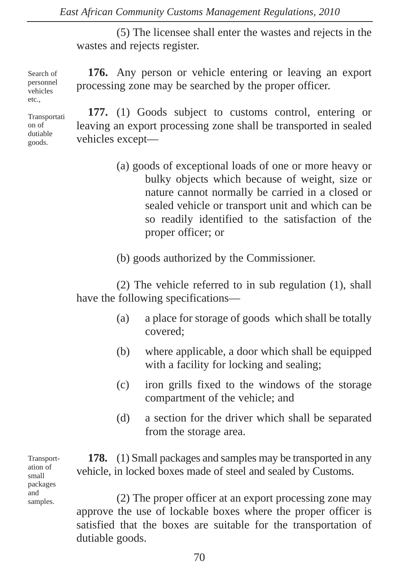processing zone may be searched by the proper officer.

(5) The licensee shall enter the wastes and rejects in the wastes and rejects register.

**176.** Any person or vehicle entering or leaving an export

Search of personnel vehicles etc.

Transportati on of dutiable goods.

**177.** (1) Goods subject to customs control, entering or leaving an export processing zone shall be transported in sealed vehicles except—

> (a) goods of exceptional loads of one or more heavy or bulky objects which because of weight, size or nature cannot normally be carried in a closed or sealed vehicle or transport unit and which can be so readily identified to the satisfaction of the proper officer; or

(b) goods authorized by the Commissioner.

(2) The vehicle referred to in sub regulation (1), shall have the following specifications—

- (a) a place for storage of goods which shall be totally covered;
- (b) where applicable, a door which shall be equipped with a facility for locking and sealing;
- (c) iron grills fixed to the windows of the storage compartment of the vehicle; and
- (d) a section for the driver which shall be separated from the storage area.

Transportation of small packages and samples.

**178.** (1) Small packages and samples may be transported in any vehicle, in locked boxes made of steel and sealed by Customs.

(2) The proper officer at an export processing zone may approve the use of lockable boxes where the proper officer is satisfied that the boxes are suitable for the transportation of dutiable goods.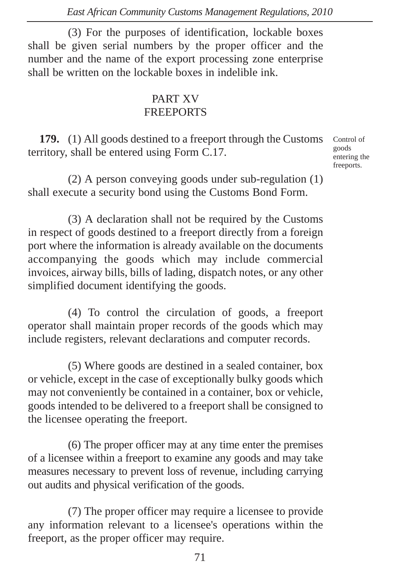(3) For the purposes of identification, lockable boxes shall be given serial numbers by the proper officer and the number and the name of the export processing zone enterprise shall be written on the lockable boxes in indelible ink.

### PART XV **FREEPORTS**

**179.** (1) All goods destined to a freeport through the Customs territory, shall be entered using Form C.17.

Control of goods entering the freeports.

(2) A person conveying goods under sub-regulation (1) shall execute a security bond using the Customs Bond Form.

(3) A declaration shall not be required by the Customs in respect of goods destined to a freeport directly from a foreign port where the information is already available on the documents accompanying the goods which may include commercial invoices, airway bills, bills of lading, dispatch notes, or any other simplified document identifying the goods.

(4) To control the circulation of goods, a freeport operator shall maintain proper records of the goods which may include registers, relevant declarations and computer records.

(5) Where goods are destined in a sealed container, box or vehicle, except in the case of exceptionally bulky goods which may not conveniently be contained in a container, box or vehicle, goods intended to be delivered to a freeport shall be consigned to the licensee operating the freeport.

(6) The proper officer may at any time enter the premises of a licensee within a freeport to examine any goods and may take measures necessary to prevent loss of revenue, including carrying out audits and physical verification of the goods.

(7) The proper officer may require a licensee to provide any information relevant to a licensee's operations within the freeport, as the proper officer may require.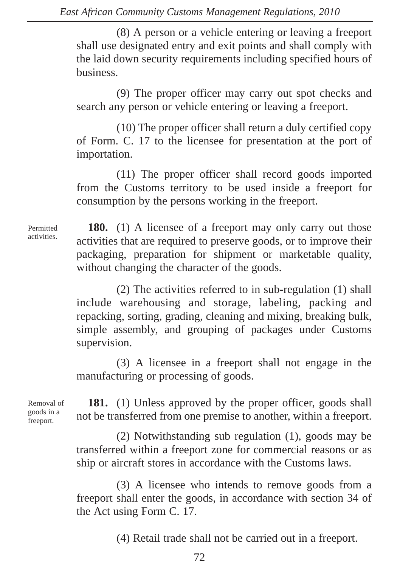(8) A person or a vehicle entering or leaving a freeport shall use designated entry and exit points and shall comply with the laid down security requirements including specified hours of business.

(9) The proper officer may carry out spot checks and search any person or vehicle entering or leaving a freeport.

(10) The proper officer shall return a duly certified copy of Form. C. 17 to the licensee for presentation at the port of importation.

(11) The proper officer shall record goods imported from the Customs territory to be used inside a freeport for consumption by the persons working in the freeport.

Permitted activities.

**180.** (1) A licensee of a freeport may only carry out those activities that are required to preserve goods, or to improve their packaging, preparation for shipment or marketable quality, without changing the character of the goods.

(2) The activities referred to in sub-regulation (1) shall include warehousing and storage, labeling, packing and repacking, sorting, grading, cleaning and mixing, breaking bulk, simple assembly, and grouping of packages under Customs supervision.

(3) A licensee in a freeport shall not engage in the manufacturing or processing of goods.

Removal of goods in a freeport.

**181.** (1) Unless approved by the proper officer, goods shall not be transferred from one premise to another, within a freeport.

(2) Notwithstanding sub regulation (1), goods may be transferred within a freeport zone for commercial reasons or as ship or aircraft stores in accordance with the Customs laws.

(3) A licensee who intends to remove goods from a freeport shall enter the goods, in accordance with section 34 of the Act using Form C. 17.

(4) Retail trade shall not be carried out in a freeport.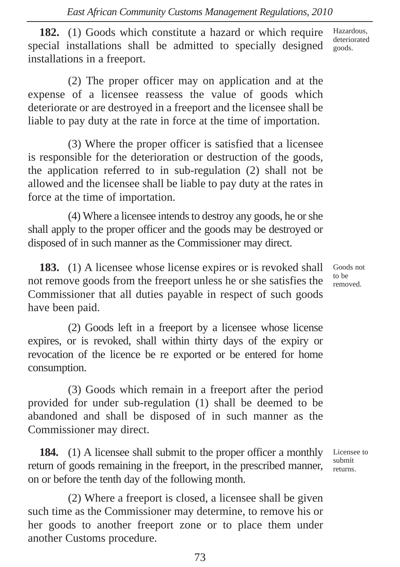**182.** (1) Goods which constitute a hazard or which require special installations shall be admitted to specially designed installations in a freeport. Hazardous, deteriorated goods.

(2) The proper officer may on application and at the expense of a licensee reassess the value of goods which deteriorate or are destroyed in a freeport and the licensee shall be liable to pay duty at the rate in force at the time of importation.

(3) Where the proper officer is satisfied that a licensee is responsible for the deterioration or destruction of the goods, the application referred to in sub-regulation (2) shall not be allowed and the licensee shall be liable to pay duty at the rates in force at the time of importation.

(4) Where a licensee intends to destroy any goods, he or she shall apply to the proper officer and the goods may be destroyed or disposed of in such manner as the Commissioner may direct.

**183.** (1) A licensee whose license expires or is revoked shall not remove goods from the freeport unless he or she satisfies the Commissioner that all duties payable in respect of such goods have been paid.

(2) Goods left in a freeport by a licensee whose license expires, or is revoked, shall within thirty days of the expiry or revocation of the licence be re exported or be entered for home consumption.

(3) Goods which remain in a freeport after the period provided for under sub-regulation (1) shall be deemed to be abandoned and shall be disposed of in such manner as the Commissioner may direct.

**184.** (1) A licensee shall submit to the proper officer a monthly return of goods remaining in the freeport, in the prescribed manner, on or before the tenth day of the following month.

(2) Where a freeport is closed, a licensee shall be given such time as the Commissioner may determine, to remove his or her goods to another freeport zone or to place them under another Customs procedure.

Goods not to be removed.

Licensee to submit returns.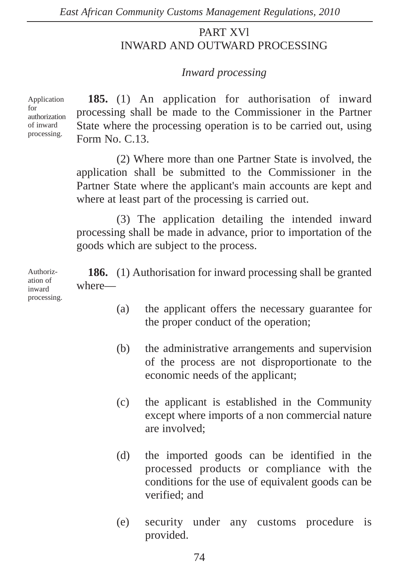# PART XVl INWARD AND OUTWARD PROCESSING

## *Inward processing*

Application for authorization of inward processing.

**185.** (1) An application for authorisation of inward processing shall be made to the Commissioner in the Partner State where the processing operation is to be carried out, using Form No. C.13.

(2) Where more than one Partner State is involved, the application shall be submitted to the Commissioner in the Partner State where the applicant's main accounts are kept and where at least part of the processing is carried out.

(3) The application detailing the intended inward processing shall be made in advance, prior to importation of the goods which are subject to the process.

**186.** (1) Authorisation for inward processing shall be granted where— Authoriz-

- (a) the applicant offers the necessary guarantee for the proper conduct of the operation;
- (b) the administrative arrangements and supervision of the process are not disproportionate to the economic needs of the applicant;
- (c) the applicant is established in the Community except where imports of a non commercial nature are involved;
- (d) the imported goods can be identified in the processed products or compliance with the conditions for the use of equivalent goods can be verified; and
- (e) security under any customs procedure is provided.

ation of inward processing.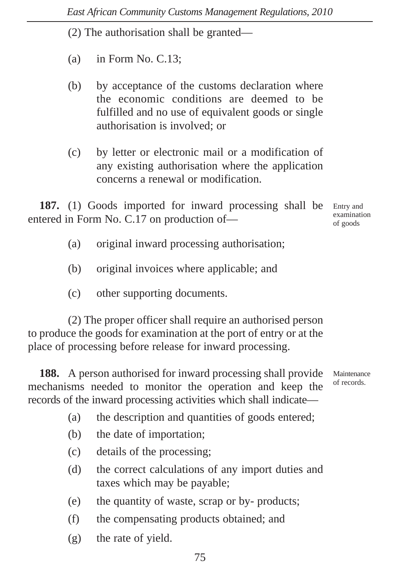(2) The authorisation shall be granted—

- (a) in Form No. C.13;
- (b) by acceptance of the customs declaration where the economic conditions are deemed to be fulfilled and no use of equivalent goods or single authorisation is involved; or
- (c) by letter or electronic mail or a modification of any existing authorisation where the application concerns a renewal or modification.

**187.** (1) Goods imported for inward processing shall be entered in Form No. C.17 on production of—

- (a) original inward processing authorisation;
- (b) original invoices where applicable; and
- (c) other supporting documents.

(2) The proper officer shall require an authorised person to produce the goods for examination at the port of entry or at the place of processing before release for inward processing.

**188.** A person authorised for inward processing shall provide mechanisms needed to monitor the operation and keep the records of the inward processing activities which shall indicate— Maintenance of records.

- 
- (a) the description and quantities of goods entered;
- (b) the date of importation;
- (c) details of the processing;
- (d) the correct calculations of any import duties and taxes which may be payable;
- (e) the quantity of waste, scrap or by- products;
- (f) the compensating products obtained; and
- (g) the rate of yield.

Entry and examination of goods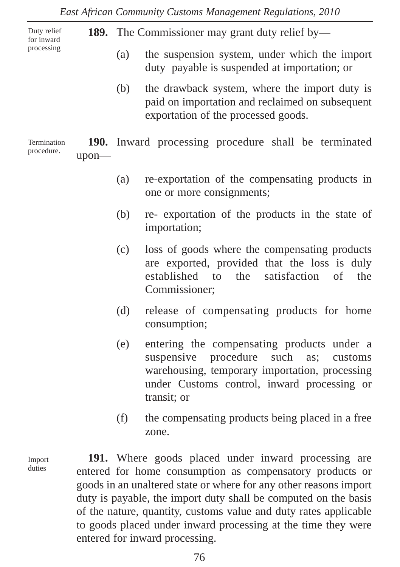**189.** The Commissioner may grant duty relief by— (a) the suspension system, under which the import duty payable is suspended at importation; or (b) the drawback system, where the import duty is paid on importation and reclaimed on subsequent exportation of the processed goods. **190.** Inward processing procedure shall be terminated upon— Duty relief for inward processing Termination procedure.

- (a) re-exportation of the compensating products in one or more consignments;
- (b) re- exportation of the products in the state of importation;
- (c) loss of goods where the compensating products are exported, provided that the loss is duly established to the satisfaction of the Commissioner;
- (d) release of compensating products for home consumption;
- (e) entering the compensating products under a suspensive procedure such as; customs warehousing, temporary importation, processing under Customs control, inward processing or transit; or
- (f) the compensating products being placed in a free zone.

Import duties

**191.** Where goods placed under inward processing are entered for home consumption as compensatory products or goods in an unaltered state or where for any other reasons import duty is payable, the import duty shall be computed on the basis of the nature, quantity, customs value and duty rates applicable to goods placed under inward processing at the time they were entered for inward processing.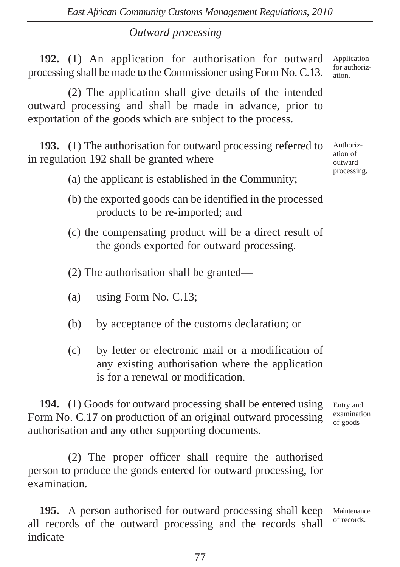### *Outward processing*

**192.** (1) An application for authorisation for outward processing shall be made to the Commissioner using Form No. C.13.

(2) The application shall give details of the intended outward processing and shall be made in advance, prior to exportation of the goods which are subject to the process.

**193.** (1) The authorisation for outward processing referred to in regulation 192 shall be granted where—

(a) the applicant is established in the Community;

- (b) the exported goods can be identified in the processed products to be re-imported; and
- (c) the compensating product will be a direct result of the goods exported for outward processing.
- (2) The authorisation shall be granted—
- (a) using Form No. C.13;
- (b) by acceptance of the customs declaration; or
- (c) by letter or electronic mail or a modification of any existing authorisation where the application is for a renewal or modification.

**194.** (1) Goods for outward processing shall be entered using Form No. C.1**7** on production of an original outward processing authorisation and any other supporting documents.

(2) The proper officer shall require the authorised person to produce the goods entered for outward processing, for examination.

**195.** A person authorised for outward processing shall keep all records of the outward processing and the records shall indicate— Maintenance of records.

Application for authorization.

Authorization of outward processing.

Entry and examination of goods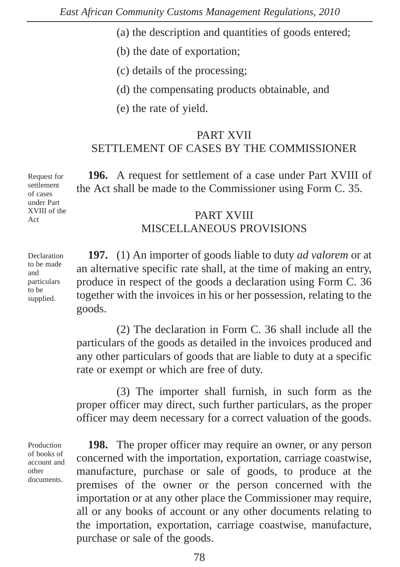- (a) the description and quantities of goods entered;
- (b) the date of exportation;
- (c) details of the processing;
- (d) the compensating products obtainable, and
- (e) the rate of yield.

#### PART XVII SETTLEMENT OF CASES BY THE COMMISSIONER

**196.** A request for settlement of a case under Part XVIII of the Act shall be made to the Commissioner using Form C. 35.

#### PART XVIII MISCELLANEOUS PROVISIONS

**197.** (1) An importer of goods liable to duty *ad valorem* or at an alternative specific rate shall, at the time of making an entry, produce in respect of the goods a declaration using Form C. 36 together with the invoices in his or her possession, relating to the goods.

(2) The declaration in Form C. 36 shall include all the particulars of the goods as detailed in the invoices produced and any other particulars of goods that are liable to duty at a specific rate or exempt or which are free of duty.

(3) The importer shall furnish, in such form as the proper officer may direct, such further particulars, as the proper officer may deem necessary for a correct valuation of the goods.

Production of books of account and other documents.

**198.** The proper officer may require an owner, or any person concerned with the importation, exportation, carriage coastwise, manufacture, purchase or sale of goods, to produce at the premises of the owner or the person concerned with the importation or at any other place the Commissioner may require, all or any books of account or any other documents relating to the importation, exportation, carriage coastwise, manufacture, purchase or sale of the goods.

Request for settlement of cases under Part XVIII of the Act

Declaration to be made and particulars to be supplied.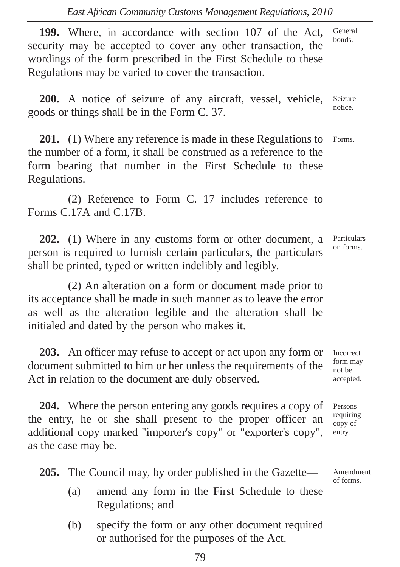**199.** Where, in accordance with section 107 of the Act**,** security may be accepted to cover any other transaction, the wordings of the form prescribed in the First Schedule to these Regulations may be varied to cover the transaction. General bonds.

**200.** A notice of seizure of any aircraft, vessel, vehicle, goods or things shall be in the Form C. 37. Seizure notice.

**201.** (1) Where any reference is made in these Regulations to the number of a form, it shall be construed as a reference to the form bearing that number in the First Schedule to these Regulations. Forms.

(2) Reference to Form C. 17 includes reference to Forms C.17A and C.17B.

**202.** (1) Where in any customs form or other document, a person is required to furnish certain particulars, the particulars shall be printed, typed or written indelibly and legibly.

(2) An alteration on a form or document made prior to its acceptance shall be made in such manner as to leave the error as well as the alteration legible and the alteration shall be initialed and dated by the person who makes it.

**203.** An officer may refuse to accept or act upon any form or document submitted to him or her unless the requirements of the Act in relation to the document are duly observed.

**204.** Where the person entering any goods requires a copy of the entry, he or she shall present to the proper officer an additional copy marked "importer's copy" or "exporter's copy", as the case may be.

**205.** The Council may, by order published in the Gazette—

- (a) amend any form in the First Schedule to these Regulations; and
- (b) specify the form or any other document required or authorised for the purposes of the Act.

Incorrect form may not be accepted.

Persons requiring copy of entry.

Amendment of forms.

Particulars on forms.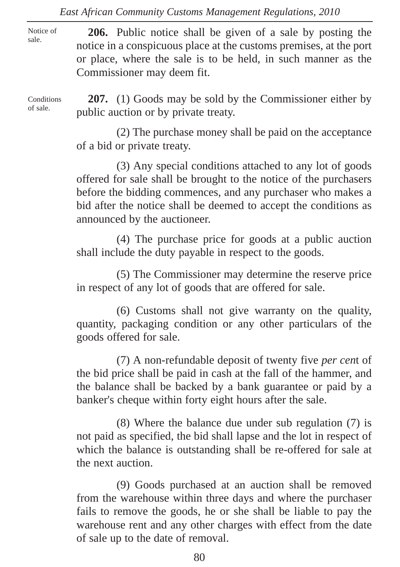Notice of sale.

**206.** Public notice shall be given of a sale by posting the notice in a conspicuous place at the customs premises, at the port or place, where the sale is to be held, in such manner as the Commissioner may deem fit.

**Conditions** of sale.

**207.** (1) Goods may be sold by the Commissioner either by public auction or by private treaty.

(2) The purchase money shall be paid on the acceptance of a bid or private treaty.

(3) Any special conditions attached to any lot of goods offered for sale shall be brought to the notice of the purchasers before the bidding commences, and any purchaser who makes a bid after the notice shall be deemed to accept the conditions as announced by the auctioneer.

(4) The purchase price for goods at a public auction shall include the duty payable in respect to the goods.

(5) The Commissioner may determine the reserve price in respect of any lot of goods that are offered for sale.

(6) Customs shall not give warranty on the quality, quantity, packaging condition or any other particulars of the goods offered for sale.

(7) A non-refundable deposit of twenty five *per cen*t of the bid price shall be paid in cash at the fall of the hammer, and the balance shall be backed by a bank guarantee or paid by a banker's cheque within forty eight hours after the sale.

(8) Where the balance due under sub regulation (7) is not paid as specified, the bid shall lapse and the lot in respect of which the balance is outstanding shall be re-offered for sale at the next auction.

(9) Goods purchased at an auction shall be removed from the warehouse within three days and where the purchaser fails to remove the goods, he or she shall be liable to pay the warehouse rent and any other charges with effect from the date of sale up to the date of removal.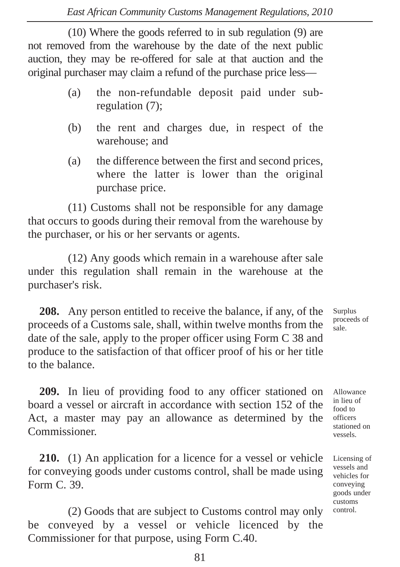(10) Where the goods referred to in sub regulation (9) are not removed from the warehouse by the date of the next public auction, they may be re-offered for sale at that auction and the original purchaser may claim a refund of the purchase price less—

- (a) the non-refundable deposit paid under subregulation (7);
- (b) the rent and charges due, in respect of the warehouse; and
- (a) the difference between the first and second prices, where the latter is lower than the original purchase price.

(11) Customs shall not be responsible for any damage that occurs to goods during their removal from the warehouse by the purchaser, or his or her servants or agents.

(12) Any goods which remain in a warehouse after sale under this regulation shall remain in the warehouse at the purchaser's risk.

**208.** Any person entitled to receive the balance, if any, of the proceeds of a Customs sale, shall, within twelve months from the date of the sale, apply to the proper officer using Form C 38 and produce to the satisfaction of that officer proof of his or her title to the balance.

**209.** In lieu of providing food to any officer stationed on board a vessel or aircraft in accordance with section 152 of the Act, a master may pay an allowance as determined by the Commissioner.

**210.** (1) An application for a licence for a vessel or vehicle for conveying goods under customs control, shall be made using Form C. 39.

(2) Goods that are subject to Customs control may only be conveyed by a vessel or vehicle licenced by the Commissioner for that purpose, using Form C.40.

Surplus proceeds of sale.

Allowance in lieu of food to officers stationed on vessels.

Licensing of vessels and vehicles for conveying goods under customs control.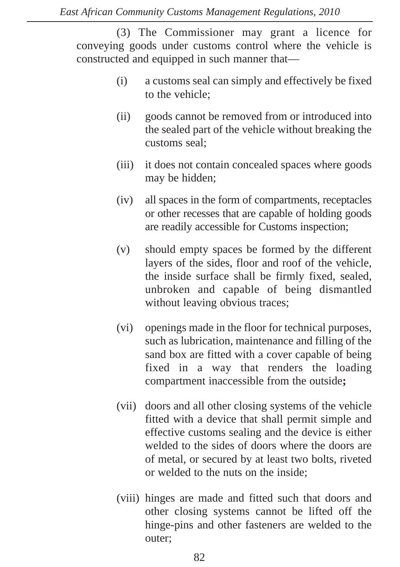(3) The Commissioner may grant a licence for conveying goods under customs control where the vehicle is constructed and equipped in such manner that—

- (i) a customs seal can simply and effectively be fixed to the vehicle;
- (ii) goods cannot be removed from or introduced into the sealed part of the vehicle without breaking the customs seal;
- (iii) it does not contain concealed spaces where goods may be hidden;
- (iv) all spaces in the form of compartments, receptacles or other recesses that are capable of holding goods are readily accessible for Customs inspection;
- (v) should empty spaces be formed by the different layers of the sides, floor and roof of the vehicle, the inside surface shall be firmly fixed, sealed, unbroken and capable of being dismantled without leaving obvious traces;
- (vi) openings made in the floor for technical purposes, such as lubrication, maintenance and filling of the sand box are fitted with a cover capable of being fixed in a way that renders the loading compartment inaccessible from the outside**;**
- (vii) doors and all other closing systems of the vehicle fitted with a device that shall permit simple and effective customs sealing and the device is either welded to the sides of doors where the doors are of metal, or secured by at least two bolts, riveted or welded to the nuts on the inside;
- (viii) hinges are made and fitted such that doors and other closing systems cannot be lifted off the hinge-pins and other fasteners are welded to the outer;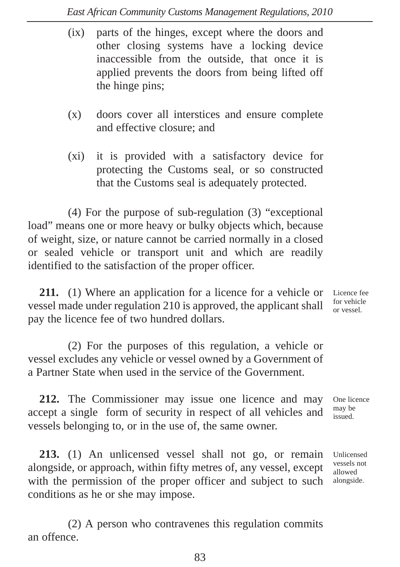- (ix) parts of the hinges, except where the doors and other closing systems have a locking device inaccessible from the outside, that once it is applied prevents the doors from being lifted off the hinge pins;
- (x) doors cover all interstices and ensure complete and effective closure; and
- (xi) it is provided with a satisfactory device for protecting the Customs seal, or so constructed that the Customs seal is adequately protected.

(4) For the purpose of sub-regulation (3) "exceptional load" means one or more heavy or bulky objects which, because of weight, size, or nature cannot be carried normally in a closed or sealed vehicle or transport unit and which are readily identified to the satisfaction of the proper officer.

**211.** (1) Where an application for a licence for a vehicle or vessel made under regulation 210 is approved, the applicant shall pay the licence fee of two hundred dollars.

(2) For the purposes of this regulation, a vehicle or vessel excludes any vehicle or vessel owned by a Government of a Partner State when used in the service of the Government.

**212.** The Commissioner may issue one licence and may accept a single form of security in respect of all vehicles and vessels belonging to, or in the use of, the same owner.

**213.** (1) An unlicensed vessel shall not go, or remain alongside, or approach, within fifty metres of, any vessel, except with the permission of the proper officer and subject to such conditions as he or she may impose.

(2) A person who contravenes this regulation commits an offence.

Licence fee for vehicle or vessel.

One licence may be issued.

Unlicensed vessels not allowed alongside.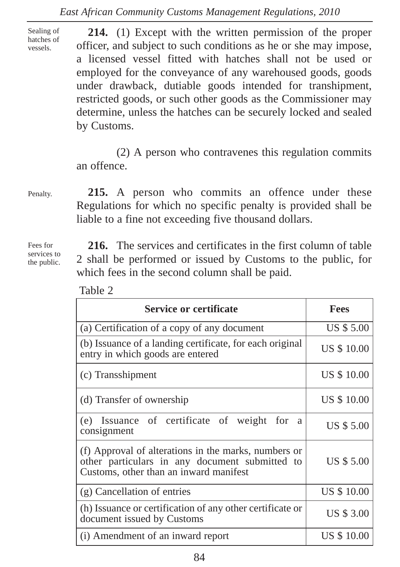Sealing of hatches of vessels.

**214.** (1) Except with the written permission of the proper officer, and subject to such conditions as he or she may impose, a licensed vessel fitted with hatches shall not be used or employed for the conveyance of any warehoused goods, goods under drawback, dutiable goods intended for transhipment, restricted goods, or such other goods as the Commissioner may determine, unless the hatches can be securely locked and sealed by Customs.

(2) A person who contravenes this regulation commits an offence.

Penalty.

Fees for services to the public.

**215.** A person who commits an offence under these Regulations for which no specific penalty is provided shall be liable to a fine not exceeding five thousand dollars.

**216.** The services and certificates in the first column of table 2 shall be performed or issued by Customs to the public, for which fees in the second column shall be paid.

| L |
|---|
|---|

| Service or certificate                                                                                                                           | <b>Fees</b>       |
|--------------------------------------------------------------------------------------------------------------------------------------------------|-------------------|
| (a) Certification of a copy of any document                                                                                                      | <b>US \$ 5.00</b> |
| (b) Issuance of a landing certificate, for each original<br>entry in which goods are entered                                                     | US \$ 10.00       |
| (c) Transshipment                                                                                                                                | US \$ 10.00       |
| (d) Transfer of ownership                                                                                                                        | US \$10.00        |
| (e) Issuance of certificate of weight for<br>a<br>consignment                                                                                    | US \$ 5.00        |
| (f) Approval of alterations in the marks, numbers or<br>other particulars in any document submitted to<br>Customs, other than an inward manifest | <b>US \$ 5.00</b> |
| (g) Cancellation of entries                                                                                                                      | <b>US \$10.00</b> |
| (h) Issuance or certification of any other certificate or<br>document issued by Customs                                                          | US \$ 3.00        |
| (i) Amendment of an inward report                                                                                                                | US \$10.00        |